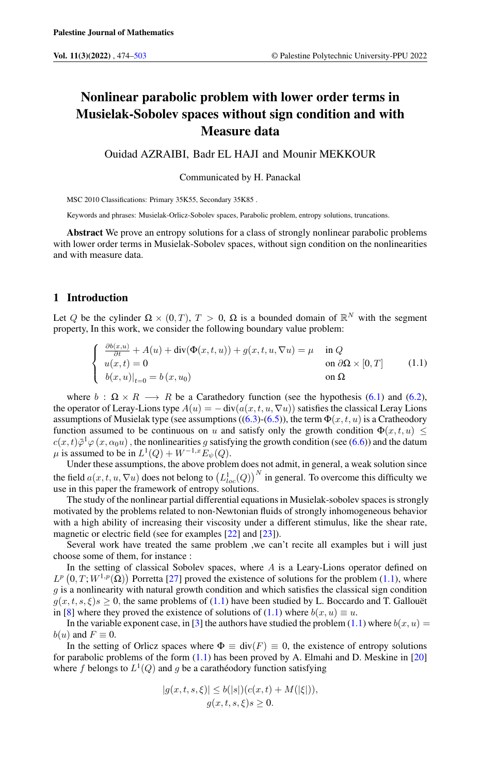# Nonlinear parabolic problem with lower order terms in Musielak-Sobolev spaces without sign condition and with Measure data

Ouidad AZRAIBI, Badr EL HAJI and Mounir MEKKOUR

<span id="page-0-0"></span>Communicated by H. Panackal

MSC 2010 Classifications: Primary 35K55, Secondary 35K85 .

Keywords and phrases: Musielak-Orlicz-Sobolev spaces, Parabolic problem, entropy solutions, truncations.

Abstract We prove an entropy solutions for a class of strongly nonlinear parabolic problems with lower order terms in Musielak-Sobolev spaces, without sign condition on the nonlinearities and with measure data.

# 1 Introduction

Let Q be the cylinder  $\Omega \times (0,T)$ ,  $T > 0$ ,  $\Omega$  is a bounded domain of  $\mathbb{R}^N$  with the segment property, In this work, we consider the following boundary value problem:

$$
\begin{cases}\n\frac{\partial b(x,u)}{\partial t} + A(u) + \text{div}(\Phi(x,t,u)) + g(x,t,u,\nabla u) = \mu & \text{in } Q \\
u(x,t) = 0 & \text{on } \partial\Omega \times [0,T] \\
b(x,u)|_{t=0} = b(x,u_0) & \text{on } \Omega\n\end{cases}
$$
\n(1.1)

where  $b : \Omega \times R \longrightarrow R$  be a Carathedory function (see the hypothesis [\(6.1\)](#page-8-0) and [\(6.2\)](#page-8-1), the operator of Leray-Lions type  $A(u) = -\text{div}(a(x, t, u, \nabla u))$  satisfies the classical Leray Lions assumptions of Musielak type (see assumptions ([\(6.3\)](#page-9-0)-[\(6.5\)](#page-9-1)), the term  $\Phi(x, t, u)$  is a Cratheodory function assumed to be continuous on u and satisfy only the growth condition  $\Phi(x, t, u) \leq$  $c(x,t)\bar{\varphi}^1\varphi(x,\alpha_0u)$ , the nonlinearities g satisfying the growth condition (see [\(6.6\)](#page-9-2)) and the datum  $\mu$  is assumed to be in  $L^1(Q) + W^{-1,x} E_{\psi}(Q)$ .

Under these assumptions, the above problem does not admit, in general, a weak solution since the field  $a(x, t, u, \nabla u)$  does not belong to  $\left(L^1_{loc}(Q)\right)^N$  in general. To overcome this difficulty we use in this paper the framework of entropy solutions.

The study of the nonlinear partial differential equations in Musielak-sobolev spaces is strongly motivated by the problems related to non-Newtonian fluids of strongly inhomogeneous behavior with a high ability of increasing their viscosity under a different stimulus, like the shear rate, magnetic or electric field (see for examples [\[22\]](#page-28-1) and [\[23\]](#page-29-0)).

Several work have treated the same problem ,we can't recite all examples but i will just choose some of them, for instance :

In the setting of classical Sobolev spaces, where  $A$  is a Leary-Lions operator defined on  $L^p(0,T;W^{1,p}(\Omega))$  Porretta [\[27\]](#page-29-1) proved the existence of solutions for the problem [\(1.1\)](#page-0-0), where  $q$  is a nonlinearity with natural growth condition and which satisfies the classical sign condition  $g(x, t, s, \xi)$ s  $\geq 0$ , the same problems of [\(1.1\)](#page-0-0) have been studied by L. Boccardo and T. Gallouët in [\[8\]](#page-28-2) where they proved the existence of solutions of [\(1.1\)](#page-0-0) where  $b(x, u) \equiv u$ .

In the variable exponent case, in [\[3\]](#page-28-3) the authors have studied the problem [\(1.1\)](#page-0-0) where  $b(x, u) =$  $b(u)$  and  $F \equiv 0$ .

In the setting of Orlicz spaces where  $\Phi \equiv \text{div}(F) \equiv 0$ , the existence of entropy solutions for parabolic problems of the form  $(1.1)$  has been proved by A. Elmahi and D. Meskine in [\[20\]](#page-28-4) where f belongs to  $L^1(Q)$  and g be a caratheodory function satisfying

$$
|g(x,t,s,\xi)| \le b(|s|)(c(x,t) + M(|\xi|)),
$$
  

$$
g(x,t,s,\xi)s \ge 0.
$$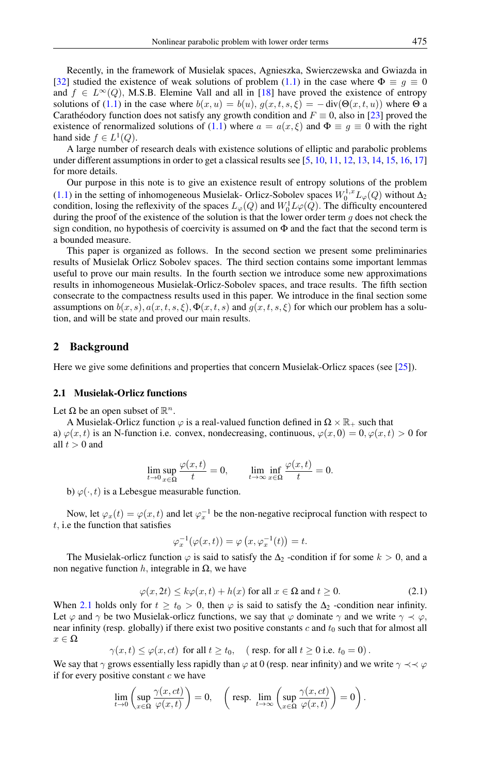Recently, in the framework of Musielak spaces, Agnieszka, Swierczewska and Gwiazda in [\[32\]](#page-29-2) studied the existence of weak solutions of problem [\(1.1\)](#page-0-0) in the case where  $\Phi \equiv g \equiv 0$ and  $f \in L^{\infty}(Q)$ , M.S.B. Elemine Vall and all in [\[18\]](#page-28-5) have proved the existence of entropy solutions of [\(1.1\)](#page-0-0) in the case where  $b(x, u) = b(u)$ ,  $g(x, t, s, \xi) = -\text{div}(\Theta(x, t, u))$  where  $\Theta$  a Carathéodory function does not satisfy any growth condition and  $F \equiv 0$ , also in [\[23\]](#page-29-0) proved the existence of renormalized solutions of [\(1.1\)](#page-0-0) where  $a = a(x, \xi)$  and  $\Phi \equiv g \equiv 0$  with the right hand side  $f \in L^1(Q)$ .

A large number of research deals with existence solutions of elliptic and parabolic problems under different assumptions in order to get a classical results see [\[5,](#page-28-6) [10,](#page-28-7) [11,](#page-28-8) [12,](#page-28-9) [13,](#page-28-10) [14,](#page-28-11) [15,](#page-28-12) [16,](#page-28-13) [17\]](#page-28-14) for more details.

Our purpose in this note is to give an existence result of entropy solutions of the problem [\(1.1\)](#page-0-0) in the setting of inhomogeneous Musielak- Orlicz-Sobolev spaces  $W_0^{1,x} L_{\varphi}(Q)$  without  $\Delta_2$ condition, losing the reflexivity of the spaces  $L_{\varphi}(Q)$  and  $W_0^1 L\varphi(Q)$ . The difficulty encountered during the proof of the existence of the solution is that the lower order term  $q$  does not check the sign condition, no hypothesis of coercivity is assumed on  $\Phi$  and the fact that the second term is a bounded measure.

This paper is organized as follows. In the second section we present some preliminaries results of Musielak Orlicz Sobolev spaces. The third section contains some important lemmas useful to prove our main results. In the fourth section we introduce some new approximations results in inhomogeneous Musielak-Orlicz-Sobolev spaces, and trace results. The fifth section consecrate to the compactness results used in this paper. We introduce in the final section some assumptions on  $b(x, s)$ ,  $a(x, t, s, \xi)$ ,  $\Phi(x, t, s)$  and  $g(x, t, s, \xi)$  for which our problem has a solution, and will be state and proved our main results.

### 2 Background

Here we give some definitions and properties that concern Musielak-Orlicz spaces (see [\[25\]](#page-29-3)).

#### 2.1 Musielak-Orlicz functions

Let  $\Omega$  be an open subset of  $\mathbb{R}^n$ .

A Musielak-Orlicz function  $\varphi$  is a real-valued function defined in  $\Omega \times \mathbb{R}_+$  such that a)  $\varphi(x, t)$  is an N-function i.e. convex, nondecreasing, continuous,  $\varphi(x, 0) = 0, \varphi(x, t) > 0$  for all  $t > 0$  and

$$
\lim_{t \to 0} \sup_{x \in \Omega} \frac{\varphi(x, t)}{t} = 0, \qquad \lim_{t \to \infty} \inf_{x \in \Omega} \frac{\varphi(x, t)}{t} = 0.
$$

b)  $\varphi(\cdot, t)$  is a Lebesgue measurable function.

Now, let  $\varphi_x(t) = \varphi(x, t)$  and let  $\varphi_x^{-1}$  be the non-negative reciprocal function with respect to  $t$ , i.e the function that satisfies

$$
\varphi_x^{-1}(\varphi(x,t)) = \varphi\left(x, \varphi_x^{-1}(t)\right) = t.
$$

<span id="page-1-0"></span>The Musielak-orlicz function  $\varphi$  is said to satisfy the  $\Delta_2$ -condition if for some  $k > 0$ , and a non negative function h, integrable in  $Ω$ , we have

$$
\varphi(x, 2t) \le k\varphi(x, t) + h(x) \text{ for all } x \in \Omega \text{ and } t \ge 0.
$$
 (2.1)

When [2.1](#page-1-0) holds only for  $t \geq t_0 > 0$ , then  $\varphi$  is said to satisfy the  $\Delta_2$ -condition near infinity. Let  $\varphi$  and  $\gamma$  be two Musielak-orlicz functions, we say that  $\varphi$  dominate  $\gamma$  and we write  $\gamma \prec \varphi$ , near infinity (resp. globally) if there exist two positive constants  $c$  and  $t_0$  such that for almost all  $x \in \Omega$ 

 $\gamma(x, t) \leq \varphi(x, ct)$  for all  $t \geq t_0$ , (resp. for all  $t \geq 0$  i.e.  $t_0 = 0$ ).

We say that  $\gamma$  grows essentially less rapidly than  $\varphi$  at 0 (resp. near infinity) and we write  $\gamma \prec \prec \varphi$ if for every positive constant  $c$  we have

$$
\lim_{t \to 0} \left( \sup_{x \in \Omega} \frac{\gamma(x, ct)}{\varphi(x, t)} \right) = 0, \quad \left( \text{resp. } \lim_{t \to \infty} \left( \sup_{x \in \Omega} \frac{\gamma(x, ct)}{\varphi(x, t)} \right) = 0 \right).
$$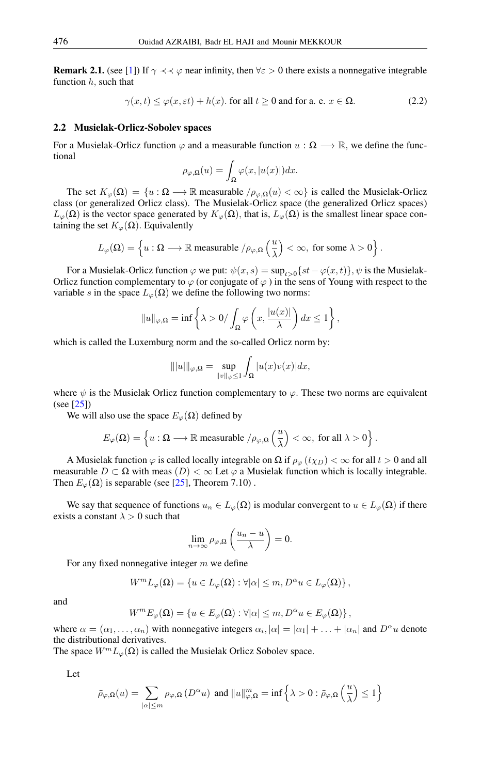<span id="page-2-0"></span>**Remark 2.1.** (see [\[1\]](#page-28-15)) If  $\gamma \prec \prec \varphi$  near infinity, then  $\forall \varepsilon > 0$  there exists a nonnegative integrable function  $h$ , such that

$$
\gamma(x,t) \le \varphi(x,\varepsilon t) + h(x). \text{ for all } t \ge 0 \text{ and for a. e. } x \in \Omega.
$$
 (2.2)

#### 2.2 Musielak-Orlicz-Sobolev spaces

For a Musielak-Orlicz function  $\varphi$  and a measurable function  $u : \Omega \longrightarrow \mathbb{R}$ , we define the functional

$$
\rho_{\varphi,\Omega}(u) = \int_{\Omega} \varphi(x, |u(x)|) dx.
$$

The set  $K_{\varphi}(\Omega) = \{u : \Omega \longrightarrow \mathbb{R} \text{ measurable } / \rho_{\varphi,\Omega}(u) < \infty \}$  is called the Musiclak-Orlicz class (or generalized Orlicz class). The Musielak-Orlicz space (the generalized Orlicz spaces)  $L_\varphi(\Omega)$  is the vector space generated by  $K_\varphi(\Omega)$ , that is,  $L_\varphi(\Omega)$  is the smallest linear space containing the set  $K_{\varphi}(\Omega)$ . Equivalently

$$
L_\varphi(\Omega)=\left\{u:\Omega\longrightarrow \mathbb{R}\;\textrm{measurable}\;/\rho_{\varphi,\Omega}\left(\frac{u}{\lambda}\right)<\infty,\;\textrm{for some}\;\lambda>0\right\}.
$$

For a Musielak-Orlicz function  $\varphi$  we put:  $\psi(x, s) = \sup_{t>0} \{st - \varphi(x, t)\}, \psi$  is the Musielak-Orlicz function complementary to  $\varphi$  (or conjugate of  $\varphi$ ) in the sens of Young with respect to the variable s in the space  $L_{\varphi}(\Omega)$  we define the following two norms:

$$
||u||_{\varphi,\Omega} = \inf \left\{ \lambda > 0 / \int_{\Omega} \varphi \left( x, \frac{|u(x)|}{\lambda} \right) dx \le 1 \right\},\
$$

which is called the Luxemburg norm and the so-called Orlicz norm by:

$$
\| |u| \|_{\varphi, \Omega} = \sup_{\|v\|_{\psi} \le 1} \int_{\Omega} |u(x)v(x)| dx,
$$

where  $\psi$  is the Musielak Orlicz function complementary to  $\varphi$ . These two norms are equivalent (see [\[25\]](#page-29-3))

We will also use the space  $E_{\varphi}(\Omega)$  defined by

$$
E_\varphi(\Omega)=\left\{u:\Omega\longrightarrow \mathbb{R}\;\textrm{measurable}\;/\rho_{\varphi,\Omega}\left(\frac{u}{\lambda}\right)<\infty,\;\textrm{for all}\;\lambda>0\right\}.
$$

A Musielak function  $\varphi$  is called locally integrable on  $\Omega$  if  $\rho_{\varphi}(t\chi_D) < \infty$  for all  $t > 0$  and all measurable  $D \subset \Omega$  with meas  $(D) < \infty$  Let  $\varphi$  a Musielak function which is locally integrable. Then  $E_{\varphi}(\Omega)$  is separable (see [\[25\]](#page-29-3), Theorem 7.10).

We say that sequence of functions  $u_n \in L_\varphi(\Omega)$  is modular convergent to  $u \in L_\varphi(\Omega)$  if there exists a constant  $\lambda > 0$  such that

$$
\lim_{n\to\infty}\rho_{\varphi,\Omega}\left(\frac{u_n-u}{\lambda}\right)=0.
$$

For any fixed nonnegative integer  $m$  we define

$$
W^m L_{\varphi}(\Omega) = \{ u \in L_{\varphi}(\Omega) : \forall |\alpha| \leq m, D^{\alpha} u \in L_{\varphi}(\Omega) \},
$$

and

$$
W^m E_{\varphi}(\Omega) = \{ u \in E_{\varphi}(\Omega) : \forall |\alpha| \leq m, D^{\alpha} u \in E_{\varphi}(\Omega) \},
$$

where  $\alpha = (\alpha_1, \dots, \alpha_n)$  with nonnegative integers  $\alpha_i, |\alpha| = |\alpha_1| + \dots + |\alpha_n|$  and  $D^{\alpha}u$  denote the distributional derivatives.

The space  $W^m L_\varphi(\Omega)$  is called the Musielak Orlicz Sobolev space.

Let

$$
\bar{\rho}_{\varphi,\Omega}(u)=\sum_{|\alpha|\leq m} \rho_{\varphi,\Omega}\left(D^\alpha u\right) \text{ and } \|u\|_{\varphi,\Omega}^m=\inf\left\{\lambda>0:\bar{\rho}_{\varphi,\Omega}\left(\frac{u}{\lambda}\right)\leq 1\right\}
$$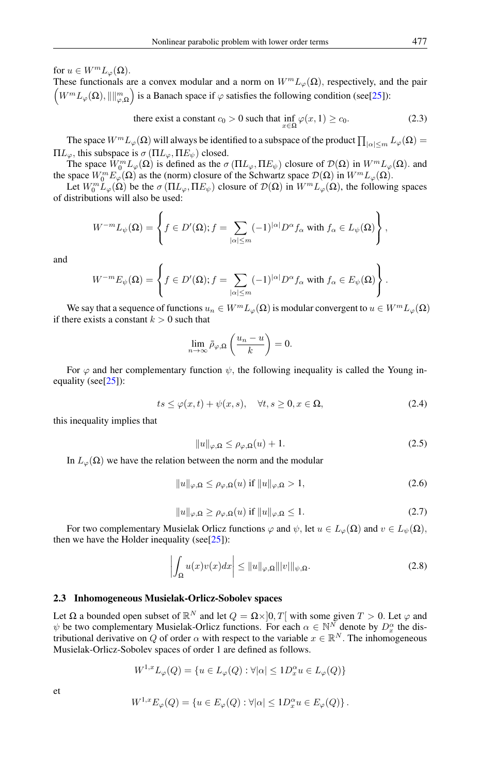for  $u \in W^m L_\varphi(\Omega)$ .

These functionals are a convex modular and a norm on  $W^m L_{\varphi}(\Omega)$ , respectively, and the pair  $(W^m L_\varphi(\Omega), \|\|_{\varphi,\Omega}^m)$  is a Banach space if  $\varphi$  satisfies the following condition (see[\[25\]](#page-29-3)):

there exist a constant 
$$
c_0 > 0
$$
 such that  $\inf_{x \in \Omega} \varphi(x, 1) \ge c_0$ . (2.3)

The space  $W^mL_\varphi(\Omega)$  will always be identified to a subspace of the product  $\prod_{|\alpha|\le m}L_\varphi(\Omega)=$  $\Pi L_{\varphi}$ , this subspace is  $\sigma(\Pi L_{\varphi}, \Pi E_{\psi})$  closed.

The space  $W_0^m L_{\varphi}(\Omega)$  is defined as the  $\sigma(\Pi L_{\varphi}, \Pi E_{\psi})$  closure of  $\mathcal{D}(\Omega)$  in  $W^m L_{\varphi}(\Omega)$ . and the space  $W_0^m E_{\varphi}(\Omega)$  as the (norm) closure of the Schwartz space  $\mathcal{D}(\Omega)$  in  $W^m L_{\varphi}(\Omega)$ .

Let  $W_0^m L_\varphi(\Omega)$  be the  $\sigma(\Pi L_\varphi, \Pi E_\psi)$  closure of  $\mathcal{D}(\Omega)$  in  $W^m L_\varphi(\Omega)$ , the following spaces of distributions will also be used:

$$
W^{-m}L_{\psi}(\Omega) = \left\{ f \in D'(\Omega); f = \sum_{|\alpha| \leq m} (-1)^{|\alpha|} D^{\alpha} f_{\alpha} \text{ with } f_{\alpha} \in L_{\psi}(\Omega) \right\},\
$$

and

$$
W^{-m}E_{\psi}(\Omega)=\left\{f\in D'(\Omega); f=\sum_{|\alpha|\leq m}(-1)^{|\alpha|}D^{\alpha}f_{\alpha} \text{ with } f_{\alpha}\in E_{\psi}(\Omega)\right\}.
$$

We say that a sequence of functions  $u_n \in W^m L_\varphi(\Omega)$  is modular convergent to  $u \in W^m L_\varphi(\Omega)$ if there exists a constant  $k > 0$  such that

$$
\lim_{n\to\infty}\bar{\rho}_{\varphi,\Omega}\left(\frac{u_n-u}{k}\right)=0.
$$

For  $\varphi$  and her complementary function  $\psi$ , the following inequality is called the Young in-equality (see[\[25\]](#page-29-3)):

$$
ts \le \varphi(x,t) + \psi(x,s), \quad \forall t, s \ge 0, x \in \Omega,
$$
\n
$$
(2.4)
$$

this inequality implies that

$$
||u||_{\varphi,\Omega} \le \rho_{\varphi,\Omega}(u) + 1. \tag{2.5}
$$

In  $L_{\varphi}(\Omega)$  we have the relation between the norm and the modular

$$
||u||_{\varphi,\Omega} \le \rho_{\varphi,\Omega}(u) \text{ if } ||u||_{\varphi,\Omega} > 1,
$$
\n(2.6)

$$
||u||_{\varphi,\Omega} \ge \rho_{\varphi,\Omega}(u) \text{ if } ||u||_{\varphi,\Omega} \le 1. \tag{2.7}
$$

For two complementary Musielak Orlicz functions  $\varphi$  and  $\psi$ , let  $u \in L_{\varphi}(\Omega)$  and  $v \in L_{\psi}(\Omega)$ , then we have the Holder inequality (see[ $25$ ]):

$$
\left| \int_{\Omega} u(x)v(x)dx \right| \leq \|u\|_{\varphi,\Omega} \|v\|_{\psi,\Omega}.
$$
\n(2.8)

## 2.3 Inhomogeneous Musielak-Orlicz-Sobolev spaces

Let  $\Omega$  a bounded open subset of  $\mathbb{R}^N$  and let  $Q = \Omega \times ]0, T[$  with some given  $T > 0$ . Let  $\varphi$  and  $\psi$  be two complementary Musielak-Orlicz functions. For each  $\alpha \in \mathbb{N}^N$  denote by  $D_x^{\alpha}$  the distributional derivative on Q of order  $\alpha$  with respect to the variable  $x \in \mathbb{R}^N$ . The inhomogeneous Musielak-Orlicz-Sobolev spaces of order 1 are defined as follows.

$$
W^{1,x}L_{\varphi}(Q) = \{ u \in L_{\varphi}(Q) : \forall |\alpha| \le 1D_x^{\alpha}u \in L_{\varphi}(Q) \}
$$

et

$$
W^{1,x} E_{\varphi}(Q) = \{ u \in E_{\varphi}(Q) : \forall |\alpha| \le 1D_x^{\alpha} u \in E_{\varphi}(Q) \}.
$$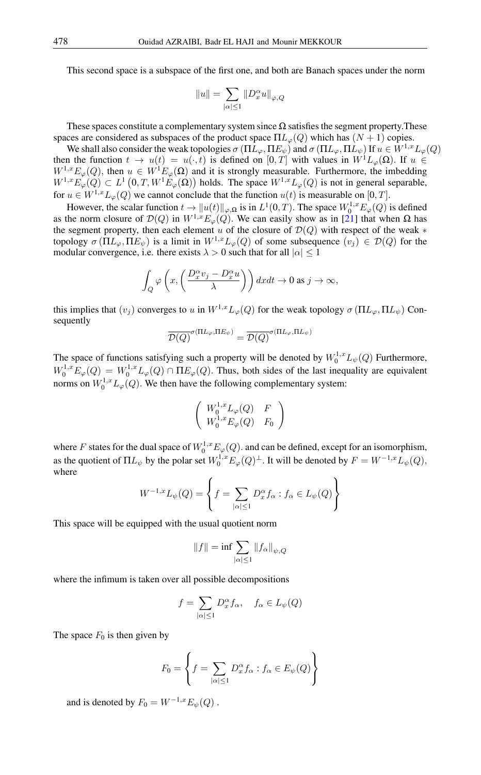This second space is a subspace of the first one, and both are Banach spaces under the norm

$$
||u|| = \sum_{|\alpha| \le 1} ||D_x^{\alpha} u||_{\varphi, Q}
$$

These spaces constitute a complementary system since  $\Omega$  satisfies the segment property. These spaces are considered as subspaces of the product space  $\Pi L_{\varphi}(Q)$  which has  $(N + 1)$  copies.

We shall also consider the weak topologies  $\sigma(\Pi L_{\varphi}, \Pi E_{\psi})$  and  $\sigma(\Pi L_{\varphi}, \Pi L_{\psi})$  If  $u \in W^{1,x}L_{\varphi}(Q)$ then the function  $t \to u(t) = u(\cdot, t)$  is defined on  $[0, T]$  with values in  $W^1L_{\varphi}(\Omega)$ . If  $u \in$  $W^{1,x}E_{\varphi}(Q)$ , then  $u \in W^{1}E_{\varphi}(\Omega)$  and it is strongly measurable. Furthermore, the imbedding  $W^{1,x}E_{\varphi}(Q) \subset L^1(0,T,W^1E_{\varphi}(\Omega))$  holds. The space  $W^{1,x}L_{\varphi}(Q)$  is not in general separable, for  $u \in W^{1,x}L_{\varphi}(Q)$  we cannot conclude that the function  $u(t)$  is measurable on [0, T].

However, the scalar function  $t \to ||u(t)||_{\varphi,\Omega}$  is in  $L^1(0,T)$ . The space  $W_0^{1,x}E_{\varphi}(Q)$  is defined as the norm closure of  $\mathcal{D}(Q)$  in  $W^{1,x}E_{\varphi}(Q)$ . We can easily show as in [\[21\]](#page-28-16) that when  $\Omega$  has the segment property, then each element u of the closure of  $\mathcal{D}(Q)$  with respect of the weak  $*$ topology  $\sigma(\Pi L_{\varphi}, \Pi E_{\psi})$  is a limit in  $W^{1,x}L_{\varphi}(Q)$  of some subsequence  $(v_i) \in \mathcal{D}(Q)$  for the modular convergence, i.e. there exists  $\lambda > 0$  such that for all  $|\alpha| \leq 1$ 

$$
\int_{Q} \varphi \left( x, \left( \frac{D_x^{\alpha} v_j - D_x^{\alpha} u}{\lambda} \right) \right) dx dt \to 0 \text{ as } j \to \infty,
$$

this implies that  $(v_j)$  converges to u in  $W^{1,x}L_\varphi(Q)$  for the weak topology  $\sigma(\Pi L_\varphi, \Pi L_\psi)$  Consequently

$$
\overline{\mathcal{D}(Q)}^{\sigma(\Pi L_{\varphi}, \Pi E_{\psi})} = \overline{\mathcal{D}(Q)}^{\sigma(\Pi L_{\varphi}, \Pi L_{\psi})}
$$

The space of functions satisfying such a property will be denoted by  $W_0^{1,x} L_{\psi}(Q)$  Furthermore,  $W_0^{1,x} E_{\varphi}(Q) = W_0^{1,x} L_{\varphi}(Q) \cap \Pi E_{\varphi}(Q)$ . Thus, both sides of the last inequality are equivalent norms on  $W_0^{1,x} L_{\varphi}(Q)$ . We then have the following complementary system:

$$
\left(\begin{array}{cc} W_0^{1,x}L_{\varphi}(Q) & F \\ W_0^{1,x}E_{\varphi}(Q) & F_0 \end{array}\right)
$$

where F states for the dual space of  $W_0^{1,x} E_{\varphi}(Q)$ . and can be defined, except for an isomorphism, as the quotient of  $\Pi L_{\psi}$  by the polar set  $W_0^{1,x} E_{\varphi}(Q)^{\perp}$ . It will be denoted by  $F = W^{-1,x} L_{\psi}(Q)$ , where

$$
W^{-1,x}L_{\psi}(Q) = \left\{ f = \sum_{|\alpha| \le 1} D_x^{\alpha} f_{\alpha} : f_{\alpha} \in L_{\psi}(Q) \right\}
$$

This space will be equipped with the usual quotient norm

$$
||f|| = \inf \sum_{|\alpha| \le 1} ||f_{\alpha}||_{\psi, Q}
$$

where the infimum is taken over all possible decompositions

$$
f = \sum_{|\alpha| \le 1} D_x^{\alpha} f_{\alpha}, \quad f_{\alpha} \in L_{\psi}(Q)
$$

The space  $F_0$  is then given by

$$
F_0 = \left\{ f = \sum_{|\alpha| \le 1} D_x^{\alpha} f_{\alpha} : f_{\alpha} \in E_{\psi}(Q) \right\}
$$

and is denoted by  $F_0 = W^{-1,x} E_{\psi}(Q)$ .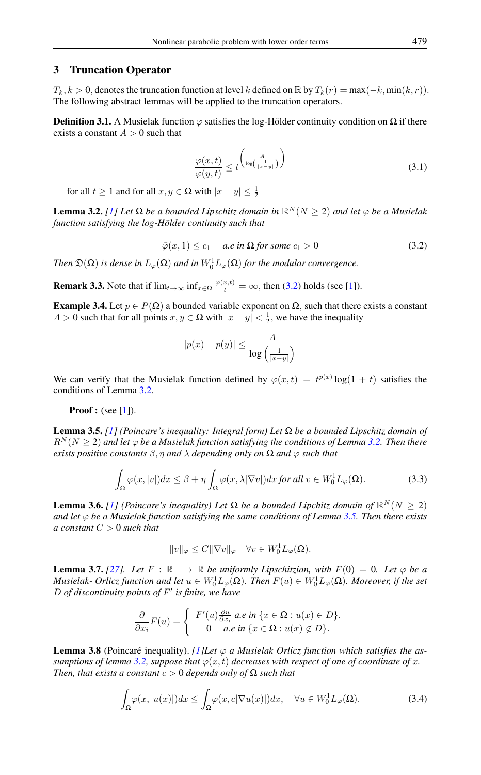## 3 Truncation Operator

 $T_k, k > 0$ , denotes the truncation function at level k defined on  $\mathbb{R}$  by  $T_k(r) = \max(-k, \min(k, r))$ . The following abstract lemmas will be applied to the truncation operators.

<span id="page-5-3"></span>**Definition 3.1.** A Musielak function  $\varphi$  satisfies the log-Hölder continuity condition on  $\Omega$  if there exists a constant  $A > 0$  such that

$$
\frac{\varphi(x,t)}{\varphi(y,t)} \le t^{\left(\frac{A}{\log\left(\frac{1}{|x-y|}\right)}\right)}\tag{3.1}
$$

for all  $t \ge 1$  and for all  $x, y \in \Omega$  with  $|x - y| \le \frac{1}{2}$ 

<span id="page-5-1"></span><span id="page-5-0"></span>**Lemma 3.2.** *[\[1\]](#page-28-15) Let* Ω *be a bounded Lipschitz domain in*  $\mathbb{R}^N$  ( $N \geq 2$ ) *and let*  $\varphi$  *be a Musielak function satisfying the log-Hölder continuity such that*

$$
\bar{\varphi}(x,1) \le c_1 \quad \text{ a.e in } \Omega \text{ for some } c_1 > 0 \tag{3.2}
$$

*Then*  $\mathfrak{D}(\Omega)$  *is dense in*  $L_{\varphi}(\Omega)$  *and in*  $W_0^1L_{\varphi}(\Omega)$  *for the modular convergence.* 

**Remark 3.3.** Note that if  $\lim_{t\to\infty} \inf_{x\in\Omega} \frac{\varphi(x,t)}{t} = \infty$ , then [\(3.2\)](#page-5-0) holds (see [\[1\]](#page-28-15)).

Example 3.4. Let  $p \in P(\Omega)$  a bounded variable exponent on  $\Omega$ , such that there exists a constant  $A > 0$  such that for all points  $x, y \in \Omega$  with  $|x - y| < \frac{1}{2}$ , we have the inequality

$$
|p(x) - p(y)| \le \frac{A}{\log\left(\frac{1}{|x-y|}\right)}
$$

We can verify that the Musielak function defined by  $\varphi(x,t) = t^{p(x)} \log(1+t)$  satisfies the conditions of Lemma [3.2.](#page-5-1)

**Proof**: (see  $[1]$ ).

<span id="page-5-2"></span>Lemma 3.5. *[\[1\]](#page-28-15) (Poincare's inequality: Integral form) Let* Ω *be a bounded Lipschitz domain of*  $R^{N}(N > 2)$  and let  $\varphi$  *be a Musielak function satisfying the conditions of Lemma [3.2.](#page-5-1) Then there exists positive constants*  $\beta$ ,  $\eta$  *and*  $\lambda$  *depending only on*  $\Omega$  *and*  $\varphi$  *such that* 

$$
\int_{\Omega} \varphi(x, |v|) dx \le \beta + \eta \int_{\Omega} \varphi(x, \lambda |\nabla v|) dx \text{ for all } v \in W_0^1 L_\varphi(\Omega). \tag{3.3}
$$

**Lemma 3.6.** [\[1\]](#page-28-15) (Poincare's inequality) Let  $\Omega$  be a bounded Lipchitz domain of  $\mathbb{R}^N (N \geq 2)$ *and let*  $\varphi$  *be a Musielak function satisfying the same conditions of Lemma [3.5.](#page-5-2)* Then there exists *a constant* C > 0 *such that*

$$
||v||_{\varphi} \leq C||\nabla v||_{\varphi} \quad \forall v \in W_0^1 L_{\varphi}(\Omega).
$$

**Lemma 3.7.** [\[27\]](#page-29-1)*.* Let  $F : \mathbb{R} \longrightarrow \mathbb{R}$  be uniformly Lipschitzian, with  $F(0) = 0$ . Let  $\varphi$  be a *Musielak- Orlicz function and let*  $u \in W_0^1L_\varphi(\Omega)$ *. Then*  $F(u) \in W_0^1L_\varphi(\Omega)$ *. Moreover, if the set* D *of discontinuity points of* F 0 *is finite, we have*

$$
\frac{\partial}{\partial x_i}F(u) = \begin{cases} F'(u)\frac{\partial u}{\partial x_i} \ a.e \ in \ \{x \in \Omega : u(x) \in D\} \\ 0 \quad a.e \ in \ \{x \in \Omega : u(x) \notin D\}. \end{cases}
$$

<span id="page-5-4"></span>**Lemma 3.8** (Poincaré inequality). *[\[1\]](#page-28-15)Let*  $\varphi$  *a Musielak Orlicz function which satisfies the assumptions of lemma* [3.2,](#page-5-1) *suppose that*  $\varphi(x, t)$  *decreases with respect of one of coordinate of* x. *Then, that exists a constant*  $c > 0$  *depends only of*  $\Omega$  *such that* 

$$
\int_{\Omega} \varphi(x, |u(x)|) dx \le \int_{\Omega} \varphi(x, c | \nabla u(x)|) dx, \quad \forall u \in W_0^1 L_{\varphi}(\Omega). \tag{3.4}
$$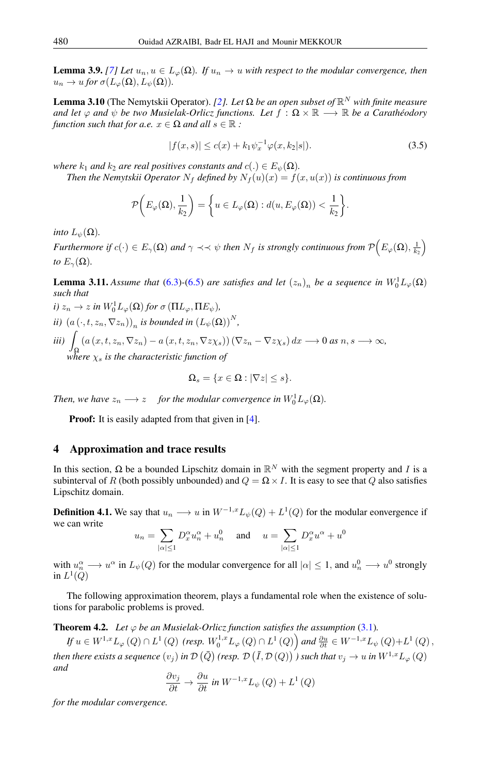**Lemma 3.9.** [\[7\]](#page-28-17) Let  $u_n, u \in L_\varphi(\Omega)$ . If  $u_n \to u$  with respect to the modular convergence, then  $u_n \to u$  *for*  $\sigma(L_\varphi(\Omega), L_\psi(\Omega)).$ 

**Lemma 3.10** (The Nemytskii Operator). [\[2\]](#page-28-18)*. Let* Ω *be an open subset of*  $\mathbb{R}^N$  *with finite measure and let*  $\varphi$  *and*  $\psi$  *be two Musielak-Orlicz functions. Let*  $f : \Omega \times \mathbb{R} \longrightarrow \mathbb{R}$  *be a Carathéodory function such that for a.e.*  $x \in \Omega$  *and all*  $s \in \mathbb{R}$ :

$$
|f(x,s)| \le c(x) + k_1 \psi_x^{-1} \varphi(x,k_2|s|). \tag{3.5}
$$

*where*  $k_1$  *and*  $k_2$  *are real positives constants and*  $c(.) \in E_{\psi}(\Omega)$ *.* 

*Then the Nemytskii Operator*  $N_f$  *defined by*  $N_f(u)(x) = f(x, u(x))$  *is continuous from* 

$$
\mathcal{P}\bigg(E_{\varphi}(\Omega),\frac{1}{k_2}\bigg)=\bigg\{u\in L_{\varphi}(\Omega):d(u,E_{\varphi}(\Omega))<\frac{1}{k_2}\bigg\}.
$$

*into*  $L_{\psi}(\Omega)$ *.* 

*Furthermore if*  $c(\cdot) \in E_\gamma(\Omega)$  and  $\gamma \prec\prec \psi$  then  $N_f$  is strongly continuous from  $\mathcal{P}\Big(E_\varphi(\Omega),\frac{1}{k_2}\Big)$ *to*  $E_{\gamma}(\Omega)$ .

<span id="page-6-0"></span>**Lemma 3.11.** *Assume that* [\(6.3\)](#page-9-0)-[\(6.5\)](#page-9-1) *are satisfies and let*  $(z_n)_n$  *be a sequence in*  $W_0^1L_{\varphi}(\Omega)$ *such that*

 $i)$   $z_n \to z$  *in*  $W_0^1 L_\varphi(\Omega)$  *for*  $\sigma(\Pi L_\varphi, \Pi E_\psi)$ *, ii*)  $(a(\cdot, t, z_n, \nabla z_n))_n$  *is bounded in*  $(L_\psi(\Omega))^N$ , *iii*)  $\int (a(x, t, z_n, \nabla z_n) - a(x, t, z_n, \nabla z \chi_s)) (\nabla z_n - \nabla z \chi_s) dx \longrightarrow 0 \text{ as } n, s \longrightarrow \infty$ ,  $\frac{J\Omega}{N}$  where  $\chi_s$  is the characteristic function of

$$
\Omega_s = \{ x \in \Omega : |\nabla z| \le s \}.
$$

Then, we have  $z_n \longrightarrow z$  *for the modular convergence in*  $W_0^1 L_\varphi(\Omega)$ *.* 

**Proof:** It is easily adapted from that given in [\[4\]](#page-28-19).

# 4 Approximation and trace results

In this section,  $\Omega$  be a bounded Lipschitz domain in  $\mathbb{R}^N$  with the segment property and I is a subinterval of R (both possibly unbounded) and  $Q = \Omega \times I$ . It is easy to see that Q also satisfies Lipschitz domain.

**Definition 4.1.** We say that  $u_n \longrightarrow u$  in  $W^{-1,x}L_{\psi}(Q) + L^{1}(Q)$  for the modular eonvergence if we can write

$$
u_n = \sum_{|\alpha| \le 1} D_x^{\alpha} u_n^{\alpha} + u_n^0 \quad \text{ and } \quad u = \sum_{|\alpha| \le 1} D_x^{\alpha} u^{\alpha} + u^0
$$

with  $u_n^{\alpha} \to u^{\alpha}$  in  $L_{\psi}(Q)$  for the modular convergence for all  $|\alpha| \leq 1$ , and  $u_n^0 \to u^0$  strongly in  $L^1(Q)$ 

The following approximation theorem, plays a fundamental role when the existence of solutions for parabolic problems is proved.

**Theorem 4.2.** *Let*  $\varphi$  *be an Musielak-Orlicz function satisfies the assumption* [\(3.1\)](#page-5-3)*.* 

 $\emph{If}\ u\in W^{1,x}L_{\varphi}\left(Q\right)\cap L^{1}\left(Q\right)\ \textit{(resp.}\ W_{0}^{1,x}L_{\varphi}\left(Q\right)\cap L^{1}\left(Q\right)\textit{)}\ and\ \frac{\partial u}{\partial t}\in W^{-1,x}L_{\psi}\left(Q\right)+L^{1}\left(Q\right),$ then there exists a sequence  $(v_j)$  in D  $(\bar{Q})$  (resp. D  $(\bar{I},\mathcal{D}\,(Q))$  ) such that  $v_j\to u$  in  $W^{1,x}L_\varphi\,(Q)$ *and*

$$
\frac{\partial v_j}{\partial t} \to \frac{\partial u}{\partial t} \text{ in } W^{-1,x} L_{\psi}(Q) + L^1(Q)
$$

*for the modular convergence.*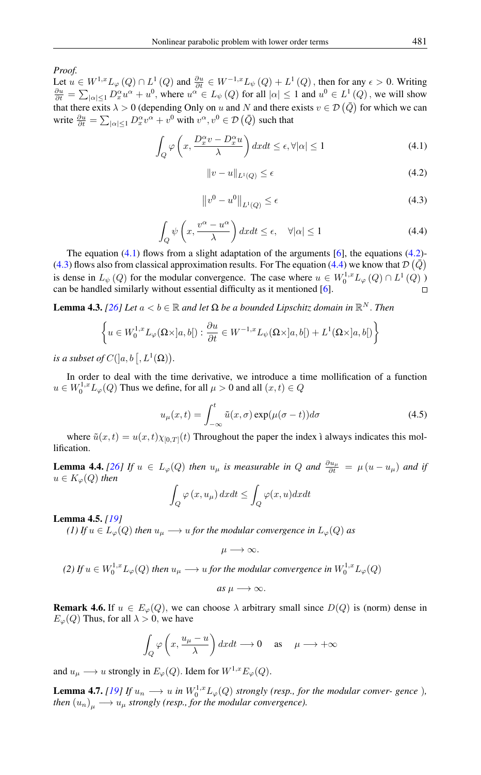*Proof.*

<span id="page-7-1"></span><span id="page-7-0"></span>Let  $u \in W^{1,x} L_\varphi(Q) \cap L^1(Q)$  and  $\frac{\partial u}{\partial t} \in W^{-1,x} L_\psi(Q) + L^1(Q)$ , then for any  $\epsilon > 0$ . Writing  $\frac{\partial u}{\partial t} = \sum_{|\alpha| \leq 1} D_x^{\alpha} u^{\alpha} + u^0$ , where  $u^{\alpha} \in L_{\psi}(Q)$  for all  $|\alpha| \leq 1$  and  $u^0 \in L^1(Q)$ , we will show that there exits  $\lambda > 0$  (depending Only on u and N and there exists  $v \in \mathcal{D}(\bar{Q})$  for which we can write  $\frac{\partial u}{\partial t} = \sum_{|\alpha| \le 1} D_x^{\alpha} v^{\alpha} + v^0$  with  $v^{\alpha}, v^0 \in \mathcal{D}(\bar{Q})$  such that

$$
\int_{Q} \varphi \left( x, \frac{D_x^{\alpha} v - D_x^{\alpha} u}{\lambda} \right) dx dt \le \epsilon, \forall |\alpha| \le 1
$$
\n(4.1)

$$
||v - u||_{L^{1}(Q)} \le \epsilon \tag{4.2}
$$

$$
\left\|v^0 - u^0\right\|_{L^1(Q)} \le \epsilon \tag{4.3}
$$

$$
\int_{Q} \psi\left(x, \frac{v^{\alpha} - u^{\alpha}}{\lambda}\right) dx dt \le \epsilon, \quad \forall |\alpha| \le 1
$$
\n(4.4)

<span id="page-7-3"></span><span id="page-7-2"></span>The equation  $(4.1)$  flows from a slight adaptation of the arguments [\[6\]](#page-28-20), the equations  $(4.2)$ -[\(4.3\)](#page-7-2) flows also from classical approximation results. For The equation [\(4.4\)](#page-7-3) we know that  $\mathcal{D}(\bar{Q})$ is dense in  $L_{\psi}(Q)$  for the modular convergence. The case where  $u \in W_0^{1,x} L_{\varphi}(Q) \cap L^1(Q)$ can be handled similarly without essential difficulty as it mentioned [\[6\]](#page-28-20).

<span id="page-7-4"></span>**Lemma 4.3.** *[\[26\]](#page-29-4) Let*  $a < b \in \mathbb{R}$  *and let*  $\Omega$  *be a bounded Lipschitz domain in*  $\mathbb{R}^N$ *. Then* 

$$
\left\{ u \in W_0^{1,x} L_\varphi(\Omega \times ]a, b[): \frac{\partial u}{\partial t} \in W^{-1,x} L_\psi(\Omega \times ]a, b[) + L^1(\Omega \times ]a, b[) \right\}
$$

*is a subset of*  $C(]a, b[, L^1(\Omega))$ .

In order to deal with the time derivative, we introduce a time mollification of a function  $u \in W_0^{1,x} L_\varphi(Q)$  Thus we define, for all  $\mu > 0$  and all  $(x, t) \in Q$ 

$$
u_{\mu}(x,t) = \int_{-\infty}^{t} \tilde{u}(x,\sigma) \exp(\mu(\sigma - t)) d\sigma \qquad (4.5)
$$

where  $\tilde{u}(x, t) = u(x, t)\chi_{[0,T]}(t)$  Throughout the paper the index i always indicates this mollification.

**Lemma 4.4.** [\[26\]](#page-29-4) If  $u \in L_{\varphi}(Q)$  then  $u_{\mu}$  is measurable in Q and  $\frac{\partial u_{\mu}}{\partial t} = \mu (u - u_{\mu})$  and if  $u \in K_{\varphi}(Q)$  *then* 

$$
\int_{Q} \varphi(x, u_{\mu}) dx dt \le \int_{Q} \varphi(x, u) dx dt
$$

Lemma 4.5. *[\[19\]](#page-28-21)*

*(1)* If  $u \in L_{\varphi}(Q)$  then  $u_{\mu} \longrightarrow u$  for the modular convergence in  $L_{\varphi}(Q)$  as

$$
\mu\longrightarrow\infty.
$$

(2) If 
$$
u \in W_0^{1,x} L_\varphi(Q)
$$
 then  $u_\mu \longrightarrow u$  for the modular convergence in  $W_0^{1,x} L_\varphi(Q)$ 

as 
$$
\mu \longrightarrow \infty
$$
.

**Remark 4.6.** If  $u \in E_{\varphi}(Q)$ , we can choose  $\lambda$  arbitrary small since  $D(Q)$  is (norm) dense in  $E_{\varphi}(Q)$  Thus, for all  $\lambda > 0$ , we have

$$
\int_{Q} \varphi \left( x, \frac{u_{\mu} - u}{\lambda} \right) dxdt \longrightarrow 0 \quad \text{as} \quad \mu \longrightarrow +\infty
$$

and  $u_{\mu} \longrightarrow u$  strongly in  $E_{\varphi}(Q)$ . Idem for  $W^{1,x}E_{\varphi}(Q)$ .

**Lemma 4.7.** *[\[19\]](#page-28-21) If*  $u_n \longrightarrow u$  *in*  $W_0^{1,x} L_\varphi(Q)$  *strongly (resp., for the modular conver- gence*)*,* then  $\left(u_{n}\right)_{\mu}\longrightarrow u_{\mu}$  strongly (resp., for the modular convergence).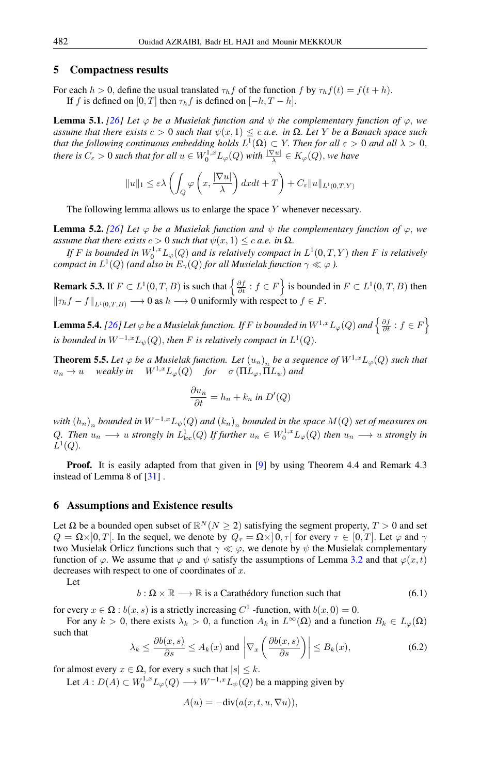## 5 Compactness results

For each  $h > 0$ , define the usual translated  $\tau_h f$  of the function f by  $\tau_h f(t) = f(t + h)$ . If f is defined on [0, T] then  $\tau_h f$  is defined on  $[-h, T - h]$ .

**Lemma 5.1.** [\[26\]](#page-29-4) Let  $\varphi$  be a Musielak function and  $\psi$  the complementary function of  $\varphi$ , we *assume that there exists*  $c > 0$  *such that*  $\psi(x, 1) \leq c$  *a.e. in*  $\Omega$ *. Let* Y *be a Banach space such that the following continuous embedding holds*  $L^1(\Omega) \subset Y$ . *Then for all*  $\varepsilon > 0$  *and all*  $\lambda > 0$ , *there is*  $C_{\varepsilon} > 0$  *such that for all*  $u \in W_0^{1,x} L_{\varphi}(Q)$  *with*  $\frac{|\nabla u|}{\lambda} \in K_{\varphi}(Q)$ *, we have* 

$$
||u||_1 \leq \varepsilon \lambda \left( \int_Q \varphi \left( x, \frac{|\nabla u|}{\lambda} \right) dx dt + T \right) + C_{\varepsilon} ||u||_{L^1(0,T,Y)}
$$

The following lemma allows us to enlarge the space Y whenever necessary.

**Lemma 5.2.** [\[26\]](#page-29-4) Let  $\varphi$  be a Musielak function and  $\psi$  the complementary function of  $\varphi$ , we *assume that there exists*  $c > 0$  *such that*  $\psi(x, 1) \leq c$  *a.e.* in  $\Omega$ *.* 

If F is bounded in  $W_0^{1,x}L_\varphi(Q)$  and is relatively compact in  $L^1(0,T,Y)$  then F is relatively  $\epsilon$ ompact in  $L^1(Q)$  (and also in  $E_\gamma(Q)$  for all Musielak function  $\gamma \ll \varphi$  ).

**Remark 5.3.** If  $F \subset L^1(0,T,B)$  is such that  $\left\{\frac{\partial f}{\partial t} : f \in F\right\}$  is bounded in  $F \subset L^1(0,T,B)$  then  $\|\tau_h f - f\|_{L^1(0,T,B)} \longrightarrow 0$  as  $h \longrightarrow 0$  uniformly with respect to  $f \in F$ .

<span id="page-8-3"></span>Lemma 5.4. [\[26\]](#page-29-4) Let  $\varphi$  be a Musielak function. If  $F$  is bounded in  $W^{1,x}L_\varphi(Q)$  and  $\left\{\frac{\partial f}{\partial t}:f\in F\right\}$ is bounded in  $W^{-1,x}L_\psi(Q)$ , then F is relatively compact in  $L^1(Q)$ .

<span id="page-8-2"></span>**Theorem 5.5.** Let  $\varphi$  be a Musielak function. Let  $(u_n)_n$  be a sequence of  $W^{1,x}L_{\varphi}(Q)$  such that  $u_n \to u$  weakly in  $W^{1,x}L_{\varphi}(Q)$  *for*  $\sigma(\Pi L_{\varphi}, \Pi L_{\psi})$  and

$$
\frac{\partial u_n}{\partial t} = h_n + k_n \text{ in } D'(Q)
$$

 $\operatorname{with}(h_n)_n$  bounded in  $W^{-1,x}L_\psi(Q)$  and  $(k_n)_n$  bounded in the space  $M(Q)$  set of measures on Q. Then  $u_n \longrightarrow u$  strongly in  $L^1_{loc}(Q)$  If further  $u_n \in W_0^{1,x} L_\varphi(Q)$  then  $u_n \longrightarrow u$  strongly in  $L^1(Q)$ .

**Proof.** It is easily adapted from that given in [\[9\]](#page-28-22) by using Theorem 4.4 and Remark 4.3 instead of Lemma 8 of [\[31\]](#page-29-5) .

## 6 Assumptions and Existence results

Let  $\Omega$  be a bounded open subset of  $\mathbb{R}^N(N \geq 2)$  satisfying the segment property,  $T > 0$  and set  $Q = \Omega \times ]0, T[$ . In the sequel, we denote by  $Q_{\tau} = \Omega \times ]0, \tau[$  for every  $\tau \in [0, T]$ . Let  $\varphi$  and  $\gamma$ two Musielak Orlicz functions such that  $\gamma \ll \varphi$ , we denote by  $\psi$  the Musielak complementary function of  $\varphi$ . We assume that  $\varphi$  and  $\psi$  satisfy the assumptions of Lemma [3.2](#page-5-1) and that  $\varphi(x, t)$ decreases with respect to one of coordinates of  $x$ .

<span id="page-8-0"></span>Let

$$
b: \Omega \times \mathbb{R} \longrightarrow \mathbb{R} \text{ is a Carathédory function such that } (6.1)
$$

for every  $x \in \Omega$ :  $b(x, s)$  is a strictly increasing  $C^1$  -function, with  $b(x, 0) = 0$ .

<span id="page-8-1"></span>For any  $k > 0$ , there exists  $\lambda_k > 0$ , a function  $A_k$  in  $L^{\infty}(\Omega)$  and a function  $B_k \in L_{\varphi}(\Omega)$ such that

$$
\lambda_k \le \frac{\partial b(x,s)}{\partial s} \le A_k(x) \text{ and } \left| \nabla_x \left( \frac{\partial b(x,s)}{\partial s} \right) \right| \le B_k(x), \tag{6.2}
$$

for almost every  $x \in \Omega$ , for every s such that  $|s| \leq k$ .

Let  $A: D(A) \subset W_0^{1,x} L_{\varphi}(Q) \longrightarrow W^{-1,x} L_{\psi}(Q)$  be a mapping given by

 $A(u) = -\text{div}(a(x, t, u, \nabla u)),$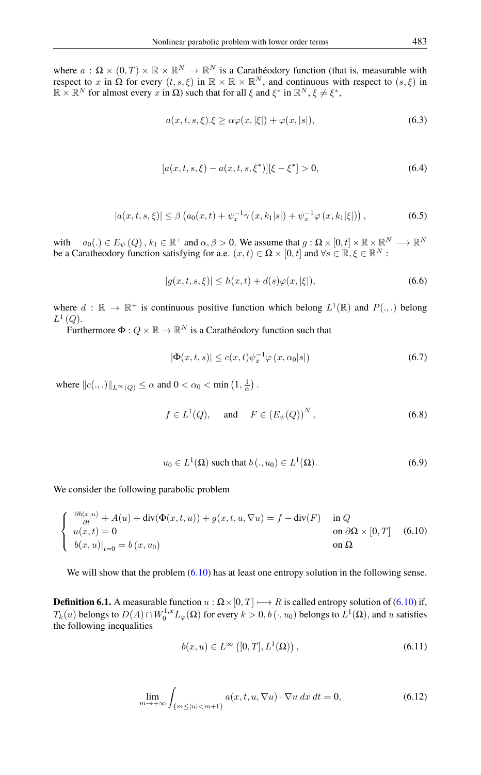<span id="page-9-7"></span>where  $a: \Omega \times (0,T) \times \mathbb{R} \times \mathbb{R}^N \to \mathbb{R}^N$  is a Carathéodory function (that is, measurable with respect to x in  $\Omega$  for every  $(t, s, \xi)$  in  $\mathbb{R} \times \mathbb{R} \times \mathbb{R}^N$ , and continuous with respect to  $(s, \xi)$  in  $\mathbb{R} \times \mathbb{R}^N$  for almost every x in  $\Omega$ ) such that for all  $\xi$  and  $\xi^*$  in  $\mathbb{R}^N$ ,  $\xi \neq \xi^*$ ,

<span id="page-9-0"></span>
$$
a(x, t, s, \xi). \xi \ge \alpha \varphi(x, |\xi|) + \varphi(x, |s|), \tag{6.3}
$$

$$
[a(x,t,s,\xi) - a(x,t,s,\xi^*)][\xi - \xi^*] > 0,
$$
\n(6.4)

$$
|a(x,t,s,\xi)| \le \beta \left( a_0(x,t) + \psi_x^{-1} \gamma \left( x, k_1|s| \right) + \psi_x^{-1} \varphi \left( x, k_1|\xi| \right) \right),\tag{6.5}
$$

<span id="page-9-1"></span>with  $a_0(.) \in E_{\psi}(Q)$ ,  $k_1 \in \mathbb{R}^+$  and  $\alpha, \beta > 0$ . We assume that  $g : \Omega \times [0, t] \times \mathbb{R} \times \mathbb{R}^N \longrightarrow \mathbb{R}^N$ be a Caratheodory function satisfying for a.e.  $(x, t) \in \Omega \times [0, t]$  and  $\forall s \in \mathbb{R}, \xi \in \mathbb{R}^N$ :

<span id="page-9-2"></span>
$$
|g(x, t, s, \xi)| \le h(x, t) + d(s)\varphi(x, |\xi|),
$$
\n(6.6)

where  $d : \mathbb{R} \to \mathbb{R}^+$  is continuous positive function which belong  $L^1(\mathbb{R})$  and  $P(.,.)$  belong  $L^1\left(Q\right)$ .

Furthermore  $\Phi: Q \times \mathbb{R} \to \mathbb{R}^N$  is a Carathéodory function such that

<span id="page-9-6"></span>
$$
|\Phi(x,t,s)| \le c(x,t)\psi_x^{-1} \varphi(x,\alpha_0|s|)
$$
\n(6.7)

where  $||c(.,.)||_{L^{\infty}(Q)} \leq \alpha$  and  $0 < \alpha_0 < \min(1, \frac{1}{\alpha})$ .

$$
f \in L^{1}(Q), \quad \text{and} \quad F \in (E_{\psi}(Q))^{N}, \tag{6.8}
$$

<span id="page-9-3"></span>
$$
u_0 \in L^1(\Omega) \text{ such that } b(.,u_0) \in L^1(\Omega). \tag{6.9}
$$

<span id="page-9-4"></span>We consider the following parabolic problem

$$
\begin{cases}\n\frac{\partial b(x,u)}{\partial t} + A(u) + \operatorname{div}(\Phi(x,t,u)) + g(x,t,u,\nabla u) = f - \operatorname{div}(F) & \text{in } Q \\
u(x,t) = 0 & \text{on } \partial\Omega \times [0,T] \\
b(x,u)|_{t=0} = b(x,u_0) & \text{on } \Omega\n\end{cases}
$$
\n(6.10)

We will show that the problem  $(6.10)$  has at least one entropy solution in the following sense.

<span id="page-9-9"></span><span id="page-9-5"></span>**Definition 6.1.** A measurable function  $u : \Omega \times [0, T] \longrightarrow R$  is called entropy solution of [\(6.10\)](#page-9-3) if,  $T_k(u)$  belongs to  $D(A) \cap W_0^{1,x} L_\varphi(\Omega)$  for every  $k > 0, b(\cdot, u_0)$  belongs to  $L^1(\Omega)$ , and u satisfies the following inequalities

<span id="page-9-8"></span>
$$
b(x, u) \in L^{\infty}([0, T], L^{1}(\Omega)), \qquad (6.11)
$$

$$
\lim_{m \to +\infty} \int_{\{m \le |u| < m+1\}} a(x, t, u, \nabla u) \cdot \nabla u \, dx \, dt = 0,\tag{6.12}
$$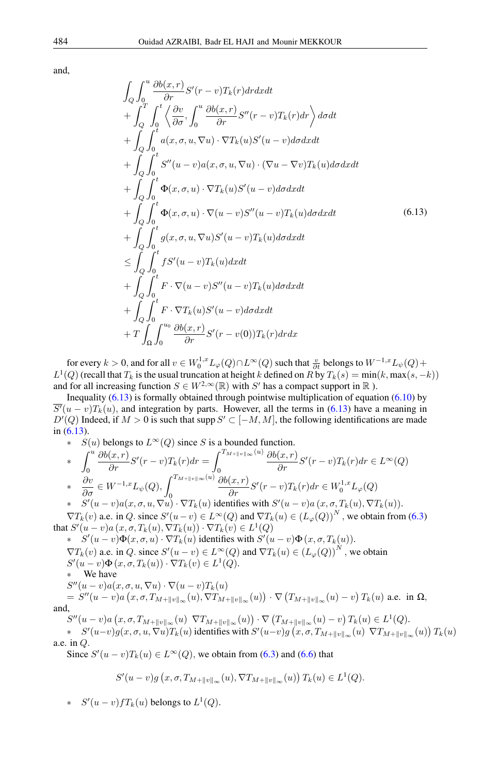<span id="page-10-0"></span>and,

$$
\int_{Q} \int_{0}^{u} \frac{\partial b(x,r)}{\partial r} S'(r-v) T_{k}(r) dr dx dt \n+ \int_{Q}^{T} \int_{0}^{t} \left\langle \frac{\partial v}{\partial \sigma}, \int_{0}^{u} \frac{\partial b(x,r)}{\partial r} S''(r-v) T_{k}(r) dr \right\rangle d\sigma dt \n+ \int_{Q} \int_{0}^{t} a(x,\sigma, u, \nabla u) \cdot \nabla T_{k}(u) S'(u-v) d\sigma dx dt \n+ \int_{Q} \int_{0}^{t} S''(u-v) a(x,\sigma, u, \nabla u) \cdot (\nabla u - \nabla v) T_{k}(u) d\sigma dx dt \n+ \int_{Q} \int_{0}^{t} \Phi(x,\sigma, u) \cdot \nabla T_{k}(u) S'(u-v) d\sigma dx dt \n+ \int_{Q} \int_{0}^{t} \Phi(x,\sigma, u) \cdot \nabla (u-v) S''(u-v) T_{k}(u) d\sigma dx dt \n+ \int_{Q} \int_{0}^{t} g(x,\sigma, u, \nabla u) S'(u-v) T_{k}(u) d\sigma dx dt \n\leq \int_{Q} \int_{0}^{t} f S'(u-v) T_{k}(u) dx dt \n+ \int_{Q} \int_{0}^{t} F \cdot \nabla (u-v) S''(u-v) T_{k}(u) d\sigma dx dt \n+ \int_{Q} \int_{0}^{t} F \cdot \nabla T_{k}(u) S'(u-v) T_{k}(u) d\sigma dx dt \n+ T \int_{\Omega} \int_{0}^{u_{0}} \frac{\partial b(x,r)}{\partial r} S'(r-v(0)) T_{k}(r) dr dx
$$

for every  $k > 0$ , and for all  $v \in W^{1,x}_0 L_\varphi(Q) \cap L^\infty(Q)$  such that  $\frac{v}{\partial t}$  belongs to  $W^{-1,x} L_\psi(Q) +$  $L^1(Q)$  (recall that  $T_k$  is the usual truncation at height k defined on R by  $T_k(s) = \min(k, \max(s, -k))$ and for all increasing function  $S \in W^{2,\infty}(\mathbb{R})$  with S' has a compact support in  $\mathbb R$ ).

Inequality  $(6.13)$  is formally obtained through pointwise multiplication of equation  $(6.10)$  by  $\overline{S'(u-v)}T_k(u)$ , and integration by parts. However, all the terms in [\(6.13\)](#page-10-0) have a meaning in  $D'(Q)$  Indeed, if  $M > 0$  is such that supp  $S' \subset [-M, M]$ , the following identifications are made in [\(6.13\)](#page-10-0).

\* 
$$
S(u)
$$
 belongs to  $L^{\infty}(Q)$  since S is a bounded function.  
\n\*  $\int_0^u \frac{\partial b(x,r)}{\partial r} S'(r-v) T_k(r) dr = \int_0^{T_{M+\|v\|_{\infty}}(u)} \frac{\partial b(x,r)}{\partial r} S'(r-v) T_k(r) dr \in L^{\infty}(Q)$   
\n\*  $\frac{\partial v}{\partial \sigma} \in W^{-1,x} L_{\psi}(Q), \int_0^{T_{M+\|v\|_{\infty}}(u)} \frac{\partial b(x,r)}{\partial r} S'(r-v) T_k(r) dr \in W_0^{1,x} L_{\varphi}(Q)$   
\n\*  $S'(u-v)a(x,\sigma, u, \nabla u) \cdot \nabla T_k(u)$  identifies with  $S'(u-v)a(x,\sigma, T_k(u), \nabla T_k(u))$ .  
\n $\nabla T_k(v)$  a.e. in Q. since  $S'(u-v) \in L^{\infty}(Q)$  and  $\nabla T_k(u) \in (L_{\varphi}(Q))^N$ , we obtain from (6)

 $(3)$ that  $S'(u-v)a(x, \sigma, T_k(u), \nabla T_k(u)) \cdot \nabla T_k(v) \in L^1(Q)$ 

 $\ast S'(u-v)\Phi(x,\sigma, u) \cdot \nabla T_k(u)$  identifies with  $S'(u-v)\Phi(x,\sigma, T_k(u))$ .  $\nabla T_k(v)$  a.e. in Q. since  $S'(u - v) \in L^{\infty}(Q)$  and  $\nabla T_k(u) \in (L_{\varphi}(Q))^N$ , we obtain  $S'(u-v)\Phi(x,\sigma,T_k(u))\cdot \nabla T_k(v) \in L^1(Q).$ We have  $S''(u-v)a(x,\sigma,u,\nabla u)\cdot\nabla(u-v)T_k(u)$  $S'''(u-v)a\left(x,\sigma,T_{M+\|v\|_{\infty}}(u),\nabla T_{M+\|v\|_{\infty}}(u)\right)\cdot\nabla\left(T_{M+\|v\|_{\infty}}(u)-v\right)T_k(u) \,\,\text{a.e. in } \Omega,$ and,  $S''(u-v)a(x, \sigma, T_{M+\|v\|_{\infty}}(u) \nabla T_{M+\|v\|_{\infty}}(u)) \cdot \nabla (T_{M+\|v\|_{\infty}}(u) - v) T_k(u) \in L^1(Q).$ 

 $\ast \quad S'(u-v)g(x,\sigma,u,\nabla u)T_k(u)$  identifies with  $S'(u-v)g(x,\sigma,T_{M+\|v\|_{\infty}}(u) \ \nabla T_{M+\|v\|_{\infty}}(u)) T_k(u)$ a.e. in Q.

Since  $S'(u-v)T_k(u) \in L^{\infty}(Q)$ , we obtain from [\(6.3\)](#page-9-0) and [\(6.6\)](#page-9-2) that

$$
S'(u-v)g(x,\sigma,T_{M+\|v\|_{\infty}}(u),\nabla T_{M+\|v\|_{\infty}}(u))T_k(u)\in L^1(Q).
$$

\*  $S'(u-v) f T_k(u)$  belongs to  $L^1(Q)$ .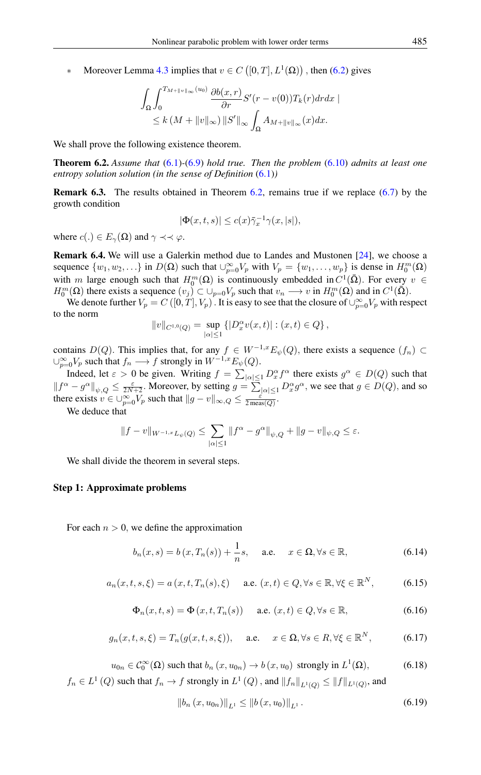• Moreover Lemma [4.3](#page-7-4) implies that  $v \in C([0, T], L^1(\Omega))$ , then [\(6.2\)](#page-8-1) gives

$$
\int_{\Omega} \int_0^{T_{M+\|v\|_{\infty}}(u_0)} \frac{\partial b(x,r)}{\partial r} S'(r-v(0)) T_k(r) dr dx
$$
  

$$
\leq k (M+\|v\|_{\infty}) \|S'\|_{\infty} \int_{\Omega} A_{M+\|v\|_{\infty}}(x) dx.
$$

We shall prove the following existence theorem.

<span id="page-11-0"></span>Theorem 6.2. *Assume that* [\(6.1\)](#page-8-0)*-*[\(6.9\)](#page-9-4) *hold true. Then the problem* [\(6.10\)](#page-9-3) *admits at least one entropy solution solution (in the sense of Definition* [\(6.1\)](#page-9-5)*)*

Remark 6.3. The results obtained in Theorem [6.2,](#page-11-0) remains true if we replace [\(6.7\)](#page-9-6) by the growth condition

$$
|\Phi(x,t,s)| \le c(x)\bar{\gamma}_x^{-1}\gamma(x,|s|),
$$

where  $c(.) \in E_{\gamma}(\Omega)$  and  $\gamma \prec \prec \varphi$ .

Remark 6.4. We will use a Galerkin method due to Landes and Mustonen [\[24\]](#page-29-6), we choose a sequence  $\{w_1, w_2, ...\}$  in  $D(\Omega)$  such that  $\bigcup_{p=0}^{\infty} V_p$  with  $V_p = \{w_1, \ldots, w_p\}$  is dense in  $H_0^m(\Omega)$ with m large enough such that  $H_0^m(\Omega)$  is continuously embedded in  $C^1(\overline{\Omega})$ . For every  $v \in$  $H_0^m(\Omega)$  there exists a sequence  $(v_j) \subset \bigcup_{p=0} V_p$  such that  $v_n \longrightarrow v$  in  $H_0^m(\Omega)$  and in  $C^1(\overline{\Omega})$ .

We denote further  $V_p = C([0, T], V_p)$ . It is easy to see that the closure of  $\bigcup_{p=0}^{\infty} V_p$  with respect to the norm

$$
||v||_{C^{1,0}(Q)} = \sup_{|\alpha| \le 1} \left\{ |D_x^{\alpha} v(x,t)| : (x,t) \in Q \right\},\,
$$

contains D(Q). This implies that, for any  $f \in W^{-1,x}E_{\psi}(Q)$ , there exists a sequence  $(f_n) \subset$  $\cup_{p=0}^{\infty} V_p$  such that  $f_n \longrightarrow f$  strongly in  $W^{-1,x} E_{\psi}(Q)$ .

Indeed, let  $\varepsilon > 0$  be given. Writing  $f = \sum_{|\alpha| \leq 1} D_x^{\alpha} f^{\alpha}$  there exists  $g^{\alpha} \in D(Q)$  such that  $||f^{\alpha} - g^{\alpha}||_{\psi, Q} \le \frac{\varepsilon}{2N+2}$ . Moreover, by setting  $g = \sum_{|\alpha| \le 1} D^{\alpha}_x g^{\alpha}$ , we see that  $g \in D(Q)$ , and so there exists  $v \in \bigcup_{p=0}^{\infty} V_p$  such that  $||g - v||_{\infty,Q} \le \frac{\varepsilon}{2 \operatorname{meas}(Q)}$ .

We deduce that

$$
\|f-v\|_{W^{-1,x}L_\psi(Q)}\leq \sum_{|\alpha|\leq 1}\|f^\alpha-g^\alpha\|_{\psi,Q}+\|g-v\|_{\psi,Q}\leq \varepsilon.
$$

We shall divide the theorem in several steps.

#### Step 1: Approximate problems

For each  $n > 0$ , we define the approximation

<span id="page-11-1"></span>
$$
b_n(x,s) = b(x,T_n(s)) + \frac{1}{n}s, \quad \text{a.e.} \quad x \in \Omega, \forall s \in \mathbb{R}, \tag{6.14}
$$

$$
a_n(x, t, s, \xi) = a(x, t, T_n(s), \xi) \quad \text{a.e. } (x, t) \in Q, \forall s \in \mathbb{R}, \forall \xi \in \mathbb{R}^N, \tag{6.15}
$$

$$
\Phi_n(x,t,s) = \Phi(x,t,T_n(s)) \quad \text{a.e. } (x,t) \in Q, \forall s \in \mathbb{R}, \tag{6.16}
$$

$$
g_n(x, t, s, \xi) = T_n(g(x, t, s, \xi)),
$$
 a.e.  $x \in \Omega, \forall s \in R, \forall \xi \in \mathbb{R}^N,$  (6.17)

 $u_{0n} \in C_0^{\infty}(\Omega)$  such that  $b_n(x, u_{0n}) \to b(x, u_0)$  strongly in  $L^1$  $(6.18)$  $f_n \in L^1(Q)$  such that  $f_n \to f$  strongly in  $L^1(Q)$  , and  $||f_n||_{L^1(Q)} \leq ||f||_{L^1(Q)}$ , and

<span id="page-11-2"></span>
$$
\|b_n(x, u_{0n})\|_{L^1} \le \|b(x, u_0)\|_{L^1}.
$$
\n(6.19)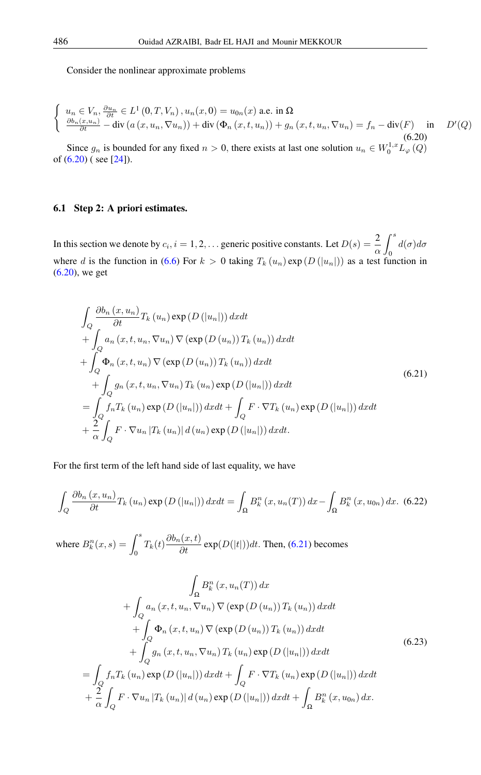<span id="page-12-0"></span>Consider the nonlinear approximate problems

$$
\begin{cases}\n u_n \in V_n, \frac{\partial u_n}{\partial t} \in L^1(0, T, V_n), u_n(x, 0) = u_{0n}(x) \text{ a.e. in } \Omega \\
 \frac{\partial b_n(x, u_n)}{\partial t} - \text{div}(a(x, u_n, \nabla u_n)) + \text{div}(\Phi_n(x, t, u_n)) + g_n(x, t, u_n, \nabla u_n) = f_n - \text{div}(F) \quad \text{in} \quad D'(Q) \\
 (6.20)\n\end{cases}
$$

Since  $g_n$  is bounded for any fixed  $n > 0$ , there exists at last one solution  $u_n \in W_0^{1,x} L_\varphi(Q)$ of  $(6.20)$  (see [\[24\]](#page-29-6)).

## 6.1 Step 2: A priori estimates.

In this section we denote by  $c_i$ ,  $i = 1, 2, \dots$  generic positive constants. Let  $D(s) = \frac{2}{\alpha}$  $\int^s$  $\mathbf 0$  $d(\sigma)d\sigma$ where d is the function in [\(6.6\)](#page-9-2) For  $k > 0$  taking  $T_k(u_n) \exp(D(|u_n|))$  as a test function in [\(6.20\)](#page-12-0), we get

<span id="page-12-1"></span>
$$
\int_{Q} \frac{\partial b_{n}(x, u_{n})}{\partial t} T_{k}(u_{n}) \exp(D(|u_{n}|)) dx dt \n+ \int_{Q} a_{n}(x, t, u_{n}, \nabla u_{n}) \nabla (\exp(D(u_{n})) T_{k}(u_{n})) dx dt \n+ \int_{Q} \Phi_{n}(x, t, u_{n}) \nabla (\exp(D(u_{n})) T_{k}(u_{n})) dx dt \n+ \int_{Q} g_{n}(x, t, u_{n}, \nabla u_{n}) T_{k}(u_{n}) \exp(D(|u_{n}|)) dx dt \n= \int_{Q} f_{n} T_{k}(u_{n}) \exp(D(|u_{n}|)) dx dt + \int_{Q} F \cdot \nabla T_{k}(u_{n}) \exp(D(|u_{n}|)) dx dt \n+ \frac{2}{\alpha} \int_{Q} F \cdot \nabla u_{n} |T_{k}(u_{n})| d(u_{n}) \exp(D(|u_{n}|)) dx dt.
$$
\n(6.21)

For the first term of the left hand side of last equality, we have

$$
\int_{Q} \frac{\partial b_{n}(x, u_{n})}{\partial t} T_{k}(u_{n}) \exp\left(D\left(|u_{n}|\right)\right) dx dt = \int_{\Omega} B_{k}^{n}(x, u_{n}(T)) dx - \int_{\Omega} B_{k}^{n}(x, u_{0n}) dx. \tag{6.22}
$$

where  $B_k^n(x,s) = \int^s$  $\int_0^s T_k(t) \frac{\partial b_n(x,t)}{\partial t} \exp(D(|t|)) dt$ . Then, [\(6.21\)](#page-12-1) becomes

$$
\int_{\Omega} B_{k}^{n} (x, u_{n}(T)) dx
$$
\n
$$
+ \int_{Q} a_{n} (x, t, u_{n}, \nabla u_{n}) \nabla (\exp(D(u_{n})) T_{k} (u_{n})) dx dt
$$
\n
$$
+ \int_{Q} \Phi_{n} (x, t, u_{n}) \nabla (\exp(D(u_{n})) T_{k} (u_{n})) dx dt
$$
\n
$$
+ \int_{Q} g_{n} (x, t, u_{n}, \nabla u_{n}) T_{k} (u_{n}) \exp(D(|u_{n}|)) dx dt
$$
\n
$$
= \int_{Q} f_{n} T_{k} (u_{n}) \exp(D(|u_{n}|)) dx dt + \int_{Q} F \cdot \nabla T_{k} (u_{n}) \exp(D(|u_{n}|)) dx dt
$$
\n
$$
+ \frac{2}{\alpha} \int_{Q} F \cdot \nabla u_{n} |T_{k} (u_{n})| d(u_{n}) \exp(D(|u_{n}|)) dx dt + \int_{\Omega} B_{k}^{n} (x, u_{0n}) dx.
$$
\n(6.23)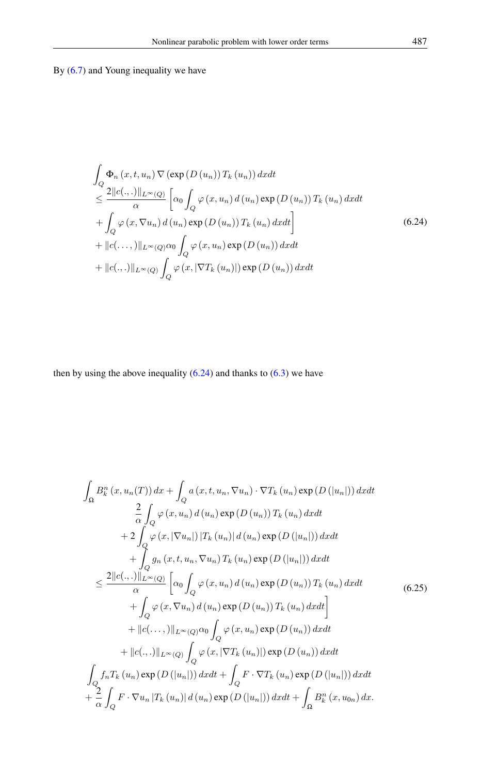By  $(6.7)$  and Young inequality we have

<span id="page-13-0"></span> $\overline{a}$ 

$$
\int_{Q} \Phi_{n}(x, t, u_{n}) \nabla (\exp(D(u_{n})) T_{k}(u_{n})) dx dt
$$
\n
$$
\leq \frac{2||c(., .)||_{L^{\infty}(Q)}}{\alpha} \left[ \alpha_{0} \int_{Q} \varphi(x, u_{n}) d(u_{n}) \exp(D(u_{n})) T_{k}(u_{n}) dx dt + \int_{Q} \varphi(x, \nabla u_{n}) d(u_{n}) \exp(D(u_{n})) T_{k}(u_{n}) dx dt \right]
$$
\n
$$
+ ||c(., .,)||_{L^{\infty}(Q)} \alpha_{0} \int_{Q} \varphi(x, u_{n}) \exp(D(u_{n})) dx dt
$$
\n
$$
+ ||c(., .)||_{L^{\infty}(Q)} \int_{Q} \varphi(x, |\nabla T_{k}(u_{n})|) \exp(D(u_{n})) dx dt
$$
\n(6.24)

then by using the above inequality  $(6.24)$  and thanks to  $(6.3)$  we have

$$
\int_{\Omega} B_{k}^{n} (x, u_{n}(T)) dx + \int_{Q} a (x, t, u_{n}, \nabla u_{n}) \cdot \nabla T_{k} (u_{n}) \exp (D (|u_{n}|)) dx dt \n\frac{2}{\alpha} \int_{Q} \varphi (x, u_{n}) d (u_{n}) \exp (D (u_{n})) T_{k} (u_{n}) dx dt \n+ 2 \int_{Q} \varphi (x, |\nabla u_{n}|) |T_{k} (u_{n})| d (u_{n}) \exp (D (|u_{n}|)) dx dt \n+ \int_{Q} g_{n} (x, t, u_{n}, \nabla u_{n}) T_{k} (u_{n}) \exp (D (|u_{n}|)) dx dt \n\leq \frac{2||c(., .)||_{L^{\infty}(Q)}}{\alpha} \left[ \alpha_{0} \int_{Q} \varphi (x, u_{n}) d (u_{n}) \exp (D (u_{n})) T_{k} (u_{n}) dx dt \n+ \int_{Q} \varphi (x, \nabla u_{n}) d (u_{n}) \exp (D (u_{n})) T_{k} (u_{n}) dx dt \right] \n+ ||c(., .,)||_{L^{\infty}(Q)} \alpha_{0} \int_{Q} \varphi (x, u_{n}) \exp (D (u_{n})) dx dt \n+ ||c(., .)||_{L^{\infty}(Q)} \int_{Q} \varphi (x, |\nabla T_{k} (u_{n})|) \exp (D (u_{n})) dx dt \n\int_{Q} f_{n} T_{k} (u_{n}) \exp (D (|u_{n}|)) dx dt + \int_{Q} F \cdot \nabla T_{k} (u_{n}) \exp (D (|u_{n}|)) dx dt \n+ \frac{2}{\alpha} \int_{Q} F \cdot \nabla u_{n} |T_{k} (u_{n})| d (u_{n}) \exp (D (|u_{n}|)) dx dt + \int_{\Omega} B_{k}^{n} (x, u_{0n}) dx.
$$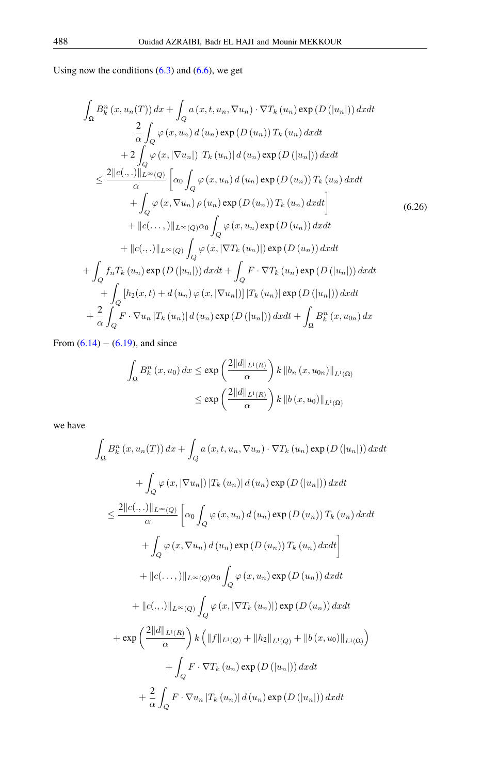Using now the conditions  $(6.3)$  and  $(6.6)$ , we get

$$
\int_{\Omega} B_{k}^{n}(x, u_{n}(T)) dx + \int_{Q} a(x, t, u_{n}, \nabla u_{n}) \cdot \nabla T_{k}(u_{n}) \exp(D(|u_{n}|)) dx dt \n\frac{2}{\alpha} \int_{Q} \varphi(x, u_{n}) d(u_{n}) \exp(D(u_{n})) T_{k}(u_{n}) dx dt \n+ 2 \int_{Q} \varphi(x, |\nabla u_{n}|) |T_{k}(u_{n})| d(u_{n}) \exp(D(|u_{n}|)) dx dt \n\leq \frac{2||c(., .)||_{L^{\infty}(Q)}}{\alpha} \left[ \alpha_{0} \int_{Q} \varphi(x, u_{n}) d(u_{n}) \exp(D(u_{n})) T_{k}(u_{n}) dx dt \n+ \int_{Q} \varphi(x, \nabla u_{n}) \rho(u_{n}) \exp(D(u_{n})) T_{k}(u_{n}) dx dt \right] \n+ ||c(., .,)||_{L^{\infty}(Q)} \alpha_{0} \int_{Q} \varphi(x, u_{n}) \exp(D(u_{n})) dx dt \n+ ||c(., .)||_{L^{\infty}(Q)} \int_{Q} \varphi(x, |\nabla T_{k}(u_{n})|) \exp(D(u_{n})) dx dt \n+ \int_{Q} f_{n} T_{k}(u_{n}) \exp(D(|u_{n}|)) dx dt + \int_{Q} F \cdot \nabla T_{k}(u_{n}) \exp(D(|u_{n}|)) dx dt \n+ \int_{Q} [h_{2}(x, t) + d(u_{n}) \varphi(x, |\nabla u_{n}|)] |T_{k}(u_{n})| \exp(D(|u_{n}|)) dx dt \n+ \frac{2}{\alpha} \int_{Q} F \cdot \nabla u_{n} |T_{k}(u_{n})| d(u_{n}) \exp(D(|u_{n}|)) dx dt + \int_{\Omega} B_{k}^{n}(x, u_{0n}) dx
$$

From  $(6.14) - (6.19)$  $(6.14) - (6.19)$  $(6.14) - (6.19)$ , and since

$$
\int_{\Omega} B_{k}^{n} (x, u_{0}) dx \le \exp\left(\frac{2||d||_{L^{1}(R)}}{\alpha}\right) k ||b_{n} (x, u_{0n})||_{L^{1}(\Omega)}
$$

$$
\le \exp\left(\frac{2||d||_{L^{1}(R)}}{\alpha}\right) k ||b (x, u_{0})||_{L^{1}(\Omega)}
$$

we have

$$
\int_{\Omega} B_{k}^{n}(x, u_{n}(T)) dx + \int_{Q} a(x, t, u_{n}, \nabla u_{n}) \cdot \nabla T_{k}(u_{n}) \exp(D(|u_{n}|)) dx dt \n+ \int_{Q} \varphi(x, |\nabla u_{n}|) |T_{k}(u_{n})| d(u_{n}) \exp(D(|u_{n}|)) dx dt \n\leq \frac{2||c(.,.)||_{L^{\infty}(Q)}}{\alpha} \left[ \alpha_{0} \int_{Q} \varphi(x, u_{n}) d(u_{n}) \exp(D(u_{n})) T_{k}(u_{n}) dx dt \n+ \int_{Q} \varphi(x, \nabla u_{n}) d(u_{n}) \exp(D(u_{n})) T_{k}(u_{n}) dx dt \right] \n+ ||c(.,.)||_{L^{\infty}(Q)} \alpha_{0} \int_{Q} \varphi(x, u_{n}) \exp(D(u_{n})) dx dt \n+ ||c(.,.)||_{L^{\infty}(Q)} \int_{Q} \varphi(x, |\nabla T_{k}(u_{n})|) \exp(D(u_{n})) dx dt \n+ \exp\left(\frac{2||d||_{L^{1}(R)}}{\alpha}\right) k (||f||_{L^{1}(Q)} + ||h_{2}||_{L^{1}(Q)} + ||b(x, u_{0})||_{L^{1}(\Omega)}) \n+ \int_{Q} F \cdot \nabla T_{k}(u_{n}) \exp(D(|u_{n}|)) dx dt \n+ \frac{2}{\alpha} \int_{Q} F \cdot \nabla u_{n} |T_{k}(u_{n})| d(u_{n}) \exp(D(|u_{n}|)) dx dt
$$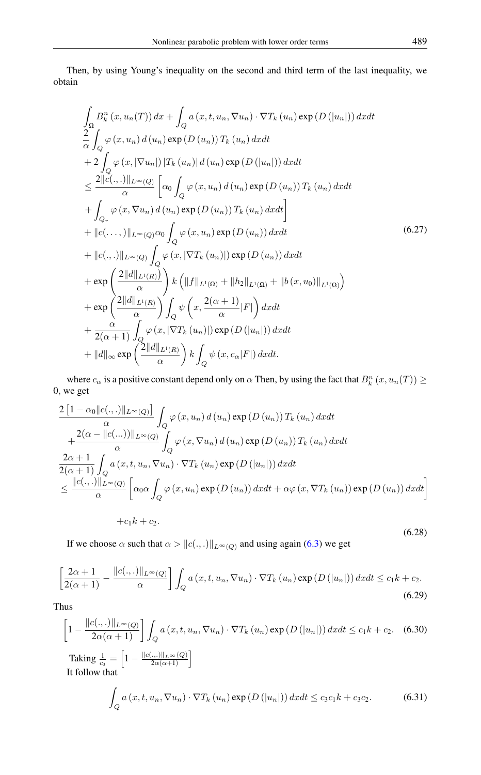Then, by using Young's inequality on the second and third term of the last inequality, we obtain

$$
\int_{\Omega} B_{k}^{n}(x, u_{n}(T)) dx + \int_{Q} a(x, t, u_{n}, \nabla u_{n}) \cdot \nabla T_{k}(u_{n}) \exp(D(|u_{n}|)) dx dt \n\frac{2}{\alpha} \int_{Q} \varphi(x, u_{n}) d(u_{n}) \exp(D(u_{n})) T_{k}(u_{n}) dx dt \n+ 2 \int_{Q} \varphi(x, |\nabla u_{n}|) |T_{k}(u_{n})| d(u_{n}) \exp(D(|u_{n}|)) dx dt \n\leq \frac{2||c(., .)||_{L^{\infty}(Q)}}{\alpha} \left[ \alpha_{0} \int_{Q} \varphi(x, u_{n}) d(u_{n}) \exp(D(u_{n})) T_{k}(u_{n}) dx dt \n+ \int_{Q_{r}} \varphi(x, \nabla u_{n}) d(u_{n}) \exp(D(u_{n})) T_{k}(u_{n}) dx dt \right] \n+ ||c(., . .)||_{L^{\infty}(Q)} \alpha_{0} \int_{Q} \varphi(x, u_{n}) \exp(D(u_{n})) dx dt \n+ ||c(., . )||_{L^{\infty}(Q)} \int_{Q} \varphi(x, |\nabla T_{k}(u_{n})|) \exp(D(u_{n})) dx dt \n+ \exp\left(\frac{2||d||_{L^{1}(R)}}{\alpha}\right) k (||f||_{L^{1}(\Omega)} + ||h_{2}||_{L^{1}(\Omega)} + ||b(x, u_{0})||_{L^{1}(\Omega)} ) \n+ \exp\left(\frac{2||d||_{L^{1}(R)}}{\alpha}\right) \int_{Q} \psi\left(x, \frac{2(\alpha + 1)}{\alpha}|F|\right) dx dt \n+ \frac{\alpha}{2(\alpha + 1)} \int_{Q} \varphi(x, |\nabla T_{k}(u_{n})|) \exp(D(|u_{n}|)) dx dt \n+ ||d||_{\infty} \exp\left(\frac{2||d||_{L^{1}(R)}}{\alpha}\right) k \int_{Q} \psi(x, c_{\alpha}|F|) dx dt.
$$

where  $c_{\alpha}$  is a positive constant depend only on  $\alpha$  Then, by using the fact that  $B_k^n(x, u_n(T)) \ge$ 0, we get

$$
\frac{2\left[1-\alpha_0||c(.,.)\right||_{L^{\infty}(Q)}\right]}{\alpha} \int_Q \varphi(x, u_n) d(u_n) \exp(D(u_n)) T_k(u_n) dx dt \n+ \frac{2(\alpha - ||c(...))||_{L^{\infty}(Q)}}{\alpha} \int_Q \varphi(x, \nabla u_n) d(u_n) \exp(D(u_n)) T_k(u_n) dx dt \n\frac{2\alpha + 1}{2(\alpha + 1)} \int_Q a(x, t, u_n, \nabla u_n) \cdot \nabla T_k(u_n) \exp(D(|u_n|)) dx dt \n\leq \frac{||c(.,.)||_{L^{\infty}(Q)}}{\alpha} \left[\alpha_0 \alpha \int_Q \varphi(x, u_n) \exp(D(u_n)) dx dt + \alpha \varphi(x, \nabla T_k(u_n)) \exp(D(u_n)) dx dt \right] \n+ c_1 k + c_2.
$$

(6.28)

If we choose  $\alpha$  such that  $\alpha > ||c(., .)||_{L^{\infty}(Q)}$  and using again [\(6.3\)](#page-9-0) we get

$$
\left[\frac{2\alpha+1}{2(\alpha+1)}-\frac{\|c(.,.)\|_{L^{\infty}(Q)}}{\alpha}\right]\int_{Q} a(x,t,u_n,\nabla u_n)\cdot \nabla T_k(u_n)\exp(D(|u_n|)) dx dt \le c_1 k + c_2.
$$
\n(6.29)

Thus

$$
\left[1 - \frac{\|c(\cdot, \cdot)\|_{L^{\infty}(Q)}}{2\alpha(\alpha + 1)}\right] \int_{Q} a(x, t, u_n, \nabla u_n) \cdot \nabla T_k(u_n) \exp(D(|u_n|)) dx dt \le c_1 k + c_2. \quad (6.30)
$$
  
Taking  $\frac{1}{c_3} = \left[1 - \frac{\|c(\cdot, \cdot)\|_{L^{\infty}(Q)}}{2\alpha(\alpha + 1)}\right]$   
It follow that

<span id="page-15-0"></span>
$$
\int_{Q} a\left(x, t, u_n, \nabla u_n\right) \cdot \nabla T_k\left(u_n\right) \exp\left(D\left(|u_n|\right)\right) dx dt \le c_3 c_1 k + c_3 c_2. \tag{6.31}
$$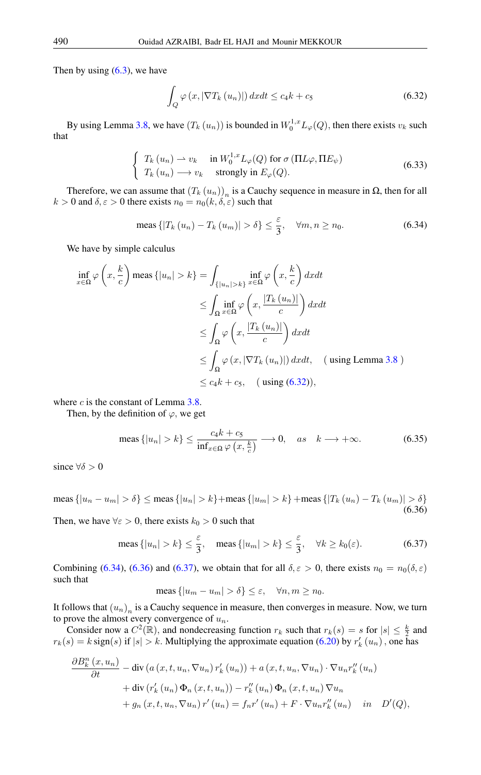Then by using  $(6.3)$ , we have

<span id="page-16-0"></span>
$$
\int_{Q} \varphi(x, |\nabla T_{k}(u_{n})|) dx dt \le c_{4} k + c_{5}
$$
\n(6.32)

By using Lemma [3.8,](#page-5-4) we have  $(T_k(u_n))$  is bounded in  $W_0^{1,x}L_\varphi(Q)$ , then there exists  $v_k$  such that

$$
\begin{cases}\nT_k(u_n) \rightharpoonup v_k & \text{in } W_0^{1,x} L_\varphi(Q) \text{ for } \sigma(\Pi L \varphi, \Pi E_\psi) \\
T_k(u_n) \rightharpoonup v_k & \text{strongly in } E_\varphi(Q).\n\end{cases}
$$
\n(6.33)

Therefore, we can assume that  $(T_k(u_n))_n$  is a Cauchy sequence in measure in Ω, then for all  $k > 0$  and  $\delta, \varepsilon > 0$  there exists  $n_0 = n_0(k, \delta, \varepsilon)$  such that

<span id="page-16-1"></span>meas 
$$
\{|T_k(u_n) - T_k(u_m)| > \delta\} \le \frac{\varepsilon}{3}, \quad \forall m, n \ge n_0.
$$
 (6.34)

We have by simple calculus

$$
\inf_{x \in \Omega} \varphi \left( x, \frac{k}{c} \right) \text{meas } \{|u_n| > k\} = \int_{\{|u_n| > k\}} \inf_{x \in \Omega} \varphi \left( x, \frac{k}{c} \right) dx dt
$$
  
\n
$$
\leq \int_{\Omega} \inf_{x \in \Omega} \varphi \left( x, \frac{|T_k(u_n)|}{c} \right) dx dt
$$
  
\n
$$
\leq \int_{\Omega} \varphi \left( x, \frac{|T_k(u_n)|}{c} \right) dx dt
$$
  
\n
$$
\leq \int_{\Omega} \varphi \left( x, |\nabla T_k(u_n)| \right) dx dt, \quad \text{(using Lemma 3.8)}
$$
  
\n
$$
\leq c_4 k + c_5, \quad \text{(using (6.32)),}
$$

where  $c$  is the constant of Lemma [3.8.](#page-5-4)

Then, by the definition of  $\varphi$ , we get

$$
\text{meas } \{|u_n| > k\} \le \frac{c_4 k + c_5}{\inf_{x \in \Omega} \varphi\left(x, \frac{k}{c}\right)} \longrightarrow 0, \quad \text{as} \quad k \longrightarrow +\infty. \tag{6.35}
$$

<span id="page-16-2"></span>since  $\forall \delta > 0$ 

meas {|u<sub>n</sub> − u<sub>m</sub>| > δ} ≤ meas {|u<sub>n</sub>| > k} +meas {|u<sub>m</sub>| > k} +meas {|T<sub>k</sub> (u<sub>n</sub>) − T<sub>k</sub> (u<sub>m</sub>)| > δ} (6.36)

Then, we have  $\forall \varepsilon > 0$ , there exists  $k_0 > 0$  such that

meas 
$$
\{|u_n| > k\} \le \frac{\varepsilon}{3}
$$
, meas  $\{|u_m| > k\} \le \frac{\varepsilon}{3}$ ,  $\forall k \ge k_0(\varepsilon)$ . (6.37)

Combining [\(6.34\)](#page-16-1), [\(6.36\)](#page-16-2) and [\(6.37\)](#page-16-3), we obtain that for all  $\delta, \epsilon > 0$ , there exists  $n_0 = n_0(\delta, \epsilon)$ such that

<span id="page-16-3"></span>
$$
\text{meas } \{|u_m - u_m| > \delta\} \le \varepsilon, \quad \forall n, m \ge n_0.
$$

It follows that  $(u_n)_n$  is a Cauchy sequence in measure, then converges in measure. Now, we turn to prove the almost every convergence of  $u_n$ .

Consider now a  $C^2(\mathbb{R})$ , and nondecreasing function  $r_k$  such that  $r_k(s) = s$  for  $|s| \leq \frac{k}{2}$  and  $r_k(s) = k \operatorname{sign}(s)$  if  $|s| > k$ . Multiplying the approximate equation [\(6.20\)](#page-12-0) by  $r'_k(u_n)$ , one has

$$
\frac{\partial B_k^n(x, u_n)}{\partial t} - \text{div}\left(a\left(x, t, u_n, \nabla u_n\right) r'_k\left(u_n\right)\right) + a\left(x, t, u_n, \nabla u_n\right) \cdot \nabla u_n r''_k\left(u_n\right) \n+ \text{div}\left(r'_k\left(u_n\right) \Phi_n\left(x, t, u_n\right)\right) - r''_k\left(u_n\right) \Phi_n\left(x, t, u_n\right) \nabla u_n \n+ g_n\left(x, t, u_n, \nabla u_n\right) r'\left(u_n\right) = f_n r'\left(u_n\right) + F \cdot \nabla u_n r''_k\left(u_n\right) \quad \text{in} \quad D'(Q),
$$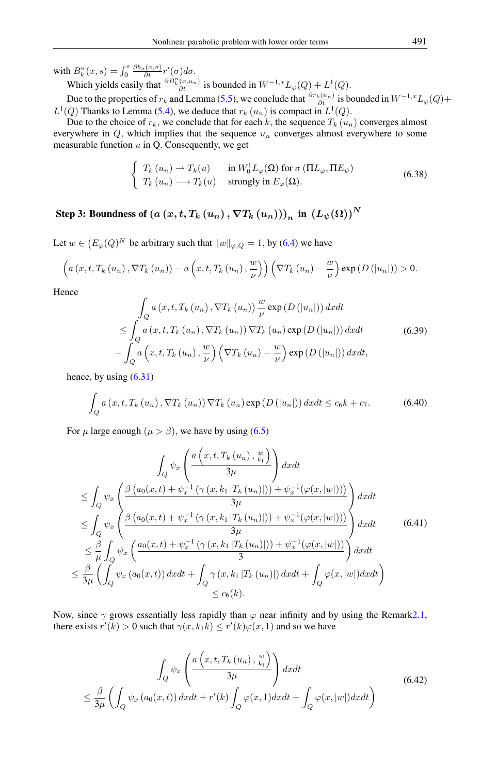with  $B_k^n(x, s) = \int_0^s$  $\frac{\partial b_n(x,\sigma)}{\partial t}r'(\sigma)d\sigma.$ 

Which yields easily that  $\frac{\partial B_k^n(x, u_n)}{\partial t}$  is bounded in  $W^{-1,x}L_\varphi(Q) + L^1(Q)$ .

Due to the properties of  $r_k$  and Lemma [\(5.5\)](#page-8-2), we conclude that  $\frac{\partial r_k(u_n)}{\partial t}$  is bounded in  $W^{-1,x}L_{\varphi}(Q)$ +  $L^1(Q)$  Thanks to Lemma [\(5.4\)](#page-8-3), we deduce that  $r_k(u_n)$  is compact in  $L^1(Q)$ .

Due to the choice of  $r_k$ , we conclude that for each k, the sequence  $T_k(u_n)$  converges almost everywhere in  $Q$ , which implies that the sequence  $u_n$  converges almost everywhere to some measurable function  $u$  in Q. Consequently, we get

$$
\begin{cases}\nT_k(u_n) \to T_k(u) & \text{in } W_0^1 L_\varphi(\Omega) \text{ for } \sigma(\Pi L_\varphi, \Pi E_\psi) \\
T_k(u_n) \to T_k(u) & \text{strongly in } E_\varphi(\Omega).\n\end{cases}
$$
\n(6.38)

Step 3: Boundness of  $\left(a\left(x,t,T_{k}\left(u_{n}\right),\nabla T_{k}\left(u_{n}\right)\right)\right)_{n}$  in  $\left(L_{\psi}(\Omega)\right)^{N}$ 

Let  $w \in (E_{\varphi}(Q)^N$  be arbitrary such that  $||w||_{\varphi,Q} = 1$ , by [\(6.4\)](#page-9-7) we have

$$
\left(a\left(x,t,T_k\left(u_n\right),\nabla T_k\left(u_n\right)\right)-a\left(x,t,T_k\left(u_n\right),\frac{w}{\nu}\right)\right)\left(\nabla T_k\left(u_n\right)-\frac{w}{\nu}\right)\exp\left(D\left(\left|u_n\right|\right)\right)>0.
$$

Hence

$$
\int_{Q} a(x, t, T_{k}(u_{n}), \nabla T_{k}(u_{n})) \frac{w}{\nu} \exp(D(|u_{n}|)) dx dt
$$
\n
$$
\leq \int_{Q} a(x, t, T_{k}(u_{n}), \nabla T_{k}(u_{n})) \nabla T_{k}(u_{n}) \exp(D(|u_{n}|)) dx dt
$$
\n
$$
- \int_{Q} a\left(x, t, T_{k}(u_{n}), \frac{w}{\nu}\right) \left(\nabla T_{k}(u_{n}) - \frac{w}{\nu}\right) \exp(D(|u_{n}|)) dx dt, \tag{6.39}
$$

hence, by using  $(6.31)$ 

$$
\int_{Q} a\left(x, t, T_{k}\left(u_{n}\right), \nabla T_{k}\left(u_{n}\right)\right) \nabla T_{k}\left(u_{n}\right) \exp\left(D\left(\left|u_{n}\right|\right)\right) dx dt \le c_{6} k + c_{7}.
$$
\n(6.40)

For  $\mu$  large enough  $(\mu > \beta)$ , we have by using [\(6.5\)](#page-9-1)

$$
\int_{Q} \psi_{x} \left( \frac{a\left(x,t,T_{k}\left(u_{n}\right),\frac{w}{k_{1}}\right)}{3\mu} \right) dxdt
$$
\n
$$
\leq \int_{Q} \psi_{x} \left( \frac{\beta\left(a_{0}(x,t)+\psi_{x}^{-1}\left(\gamma\left(x,k_{1}|T_{k}\left(u_{n}\right)\right)\right)+\psi_{x}^{-1}\left(\varphi(x,\left|w\right|\right)\right)\right)}{3\mu} dxdt
$$
\n
$$
\leq \int_{Q} \psi_{x} \left( \frac{\beta\left(a_{0}(x,t)+\psi_{x}^{-1}\left(\gamma\left(x,k_{1}|T_{k}\left(u_{n}\right)\right)\right)+\psi_{x}^{-1}\left(\varphi(x,\left|w\right|\right)\right)\right)}{3\mu} dxdt
$$
\n
$$
\leq \frac{\beta}{\mu} \int_{Q} \psi_{x} \left( \frac{a_{0}(x,t)+\psi_{x}^{-1}\left(\gamma\left(x,k_{1}|T_{k}\left(u_{n}\right)\right)\right)+\psi_{x}^{-1}\left(\varphi(x,\left|w\right|\right)\right)}{3} dxdt
$$
\n
$$
\leq \frac{\beta}{3\mu} \left( \int_{Q} \psi_{x}\left(a_{0}(x,t)\right) dxdt + \int_{Q} \gamma\left(x,k_{1}|T_{k}\left(u_{n}\right)\right| dxdt + \int_{Q} \varphi(x,\left|w\right|\right) dxdt \right)
$$
\n
$$
\leq c_{6}(k).
$$
\n(6.41)

Now, since  $\gamma$  grows essentially less rapidly than  $\varphi$  near infinity and by using the Remar[k2.1,](#page-2-0) there exists  $r'(k) > 0$  such that  $\gamma(x, k_1 k) \le r'(k)\varphi(x, 1)$  and so we have

$$
\int_{Q} \psi_{x} \left( \frac{a\left(x, t, T_{k}\left(u_{n}\right), \frac{w}{k_{1}}\right)}{3\mu} \right) dx dt
$$
\n
$$
\leq \frac{\beta}{3\mu} \left( \int_{Q} \psi_{x} \left(a_{0}(x, t)\right) dx dt + r'(k) \int_{Q} \varphi(x, 1) dx dt + \int_{Q} \varphi(x, |w|) dx dt \right)
$$
\n(6.42)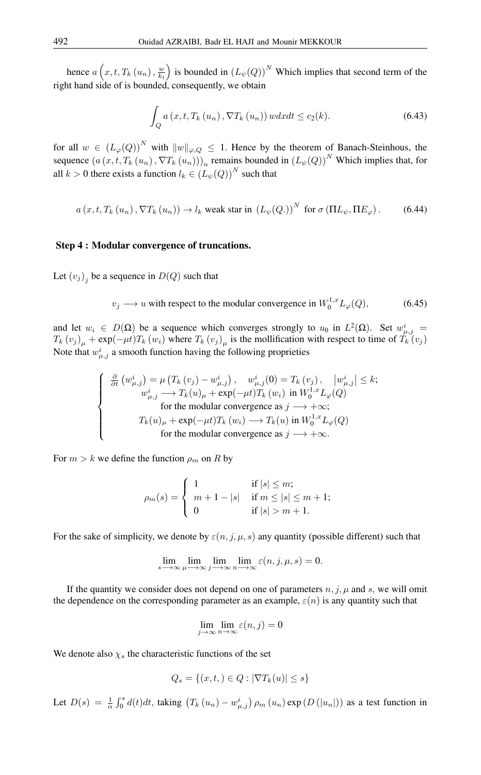hence  $a\left(x,t,T_k\left(u_n\right),\frac{w}{k_1}\right)$  is bounded in  $\left(L_\psi(Q)\right)^N$  Which implies that second term of the right hand side of is bounded, consequently, we obtain

$$
\int_{Q} a\left(x, t, T_{k}\left(u_{n}\right), \nabla T_{k}\left(u_{n}\right)\right) w dx dt \leq c_{2}(k). \tag{6.43}
$$

for all  $w \in (L_{\varphi}(Q))^N$  with  $||w||_{\varphi,Q} \leq 1$ . Hence by the theorem of Banach-Steinhous, the sequence  $(a(x, t, T_k(u_n), \nabla T_k(u_n)))_n$  remains bounded in  $(L_{\psi}(Q))^N$  Which implies that, for all  $k > 0$  there exists a function  $l_k \in (L_{\psi}(Q))^N$  such that

 $a(x, t, T_k(u_n), \nabla T_k(u_n)) \to l_k$  weak star in  $(L_\psi(Q.))^N$  for  $\sigma(\Pi L_\psi, \Pi E_\varphi)$ . (6.44)

#### Step 4 : Modular convergence of truncations.

Let  $(v_j)_j$  be a sequence in  $D(Q)$  such that

$$
v_j \longrightarrow u
$$
 with respect to the modular convergence in  $W_0^{1,x} L_\varphi(Q)$ , (6.45)

and let  $w_i \in D(\Omega)$  be a sequence which converges strongly to  $u_0$  in  $L^2(\Omega)$ . Set  $w_{\mu,j}^i =$  $T_k(v_j)_\mu + \exp(-\mu t)T_k(w_i)$  where  $T_k(v_j)_\mu$  is the mollification with respect to time of  $T_k(v_j)$ Note that  $w_{\mu,j}^i$  a smooth function having the following proprieties

$$
\begin{cases}\n\frac{\partial}{\partial t} \left( w_{\mu,j}^{i} \right) = \mu \left( T_{k} \left( v_{j} \right) - w_{\mu,j}^{i} \right), \quad w_{\mu,j}^{i} (0) = T_{k} \left( v_{j} \right), \quad \left| w_{\mu,j}^{i} \right| \leq k; \\
w_{\mu,j}^{i} \longrightarrow T_{k} \left( u \right)_{\mu} + \exp(-\mu t) T_{k} \left( w_{i} \right) \text{ in } W_{0}^{1,x} L_{\varphi}(Q) \\
\text{for the modular convergence as } j \longrightarrow +\infty; \\
T_{k} \left( u \right)_{\mu} + \exp(-\mu t) T_{k} \left( w_{i} \right) \longrightarrow T_{k} \left( u \right) \text{ in } W_{0}^{1,x} L_{\varphi}(Q) \\
\text{for the modular convergence as } j \longrightarrow +\infty.\n\end{cases}
$$

For  $m > k$  we define the function  $\rho_m$  on R by

$$
\rho_m(s) = \begin{cases} 1 & \text{if } |s| \le m; \\ m+1-|s| & \text{if } m \le |s| \le m+1; \\ 0 & \text{if } |s| > m+1. \end{cases}
$$

For the sake of simplicity, we denote by  $\varepsilon(n, j, \mu, s)$  any quantity (possible different) such that

$$
\lim_{s \to \infty} \lim_{\mu \to \infty} \lim_{j \to \infty} \lim_{n \to \infty} \varepsilon(n, j, \mu, s) = 0.
$$

If the quantity we consider does not depend on one of parameters  $n, j, \mu$  and s, we will omit the dependence on the corresponding parameter as an example,  $\varepsilon(n)$  is any quantity such that

$$
\lim_{j \to \infty} \lim_{n \to \infty} \varepsilon(n, j) = 0
$$

We denote also  $\chi_s$  the characteristic functions of the set

$$
Q_s = \{(x, t, ) \in Q : |\nabla T_k(u)| \le s\}
$$

Let  $D(s) = \frac{1}{\alpha} \int_0^s d(t)dt$ , taking  $(T_k(u_n) - w_{\mu,j}^i) \rho_m(u_n) \exp(D(|u_n|))$  as a test function in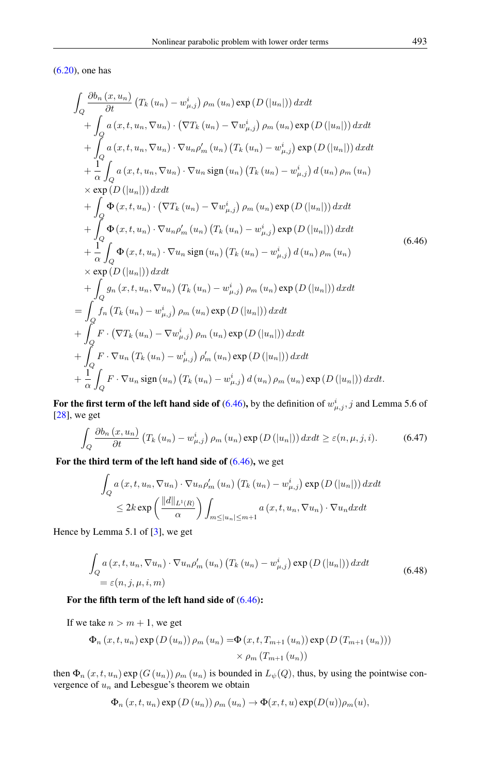<span id="page-19-0"></span>[\(6.20\)](#page-12-0), one has

$$
\int_{Q} \frac{\partial b_{n}(x, u_{n})}{\partial t} (T_{k}(u_{n}) - w_{\mu,j}^{i}) \rho_{m}(u_{n}) \exp(D(|u_{n}|)) dx dt \n+ \int_{Q} a(x, t, u_{n}, \nabla u_{n}) \cdot (\nabla T_{k}(u_{n}) - \nabla w_{\mu,j}^{i}) \rho_{m}(u_{n}) \exp(D(|u_{n}|)) dx dt \n+ \int_{Q} a(x, t, u_{n}, \nabla u_{n}) \cdot \nabla u_{n} \rho'_{m}(u_{n}) (T_{k}(u_{n}) - w_{\mu,j}^{i}) \exp(D(|u_{n}|)) dx dt \n+ \frac{1}{\alpha} \int_{Q} a(x, t, u_{n}, \nabla u_{n}) \cdot \nabla u_{n} \operatorname{sign}(u_{n}) (T_{k}(u_{n}) - w_{\mu,j}^{i}) d(u_{n}) \rho_{m}(u_{n}) \n\times \exp(D(|u_{n}|)) dx dt \n+ \int_{Q} \Phi(x, t, u_{n}) \cdot (\nabla T_{k}(u_{n}) - \nabla w_{\mu,j}^{i}) \rho_{m}(u_{n}) \exp(D(|u_{n}|)) dx dt \n+ \int_{Q} \Phi(x, t, u_{n}) \cdot \nabla u_{n} \rho'_{m}(u_{n}) (T_{k}(u_{n}) - w_{\mu,j}^{i}) \exp(D(|u_{n}|)) dx dt \n+ \frac{1}{\alpha} \int_{Q} \Phi(x, t, u_{n}) \cdot \nabla u_{n} \operatorname{sign}(u_{n}) (T_{k}(u_{n}) - w_{\mu,j}^{i}) d(u_{n}) \rho_{m}(u_{n}) \n\times \exp(D(|u_{n}|)) dx dt \n+ \int_{Q} g_{n}(x, t, u_{n}, \nabla u_{n}) (T_{k}(u_{n}) - w_{\mu,j}^{i}) \rho_{m}(u_{n}) \exp(D(|u_{n}|)) dx dt \n+ \int_{Q} f_{n}(T_{k}(u_{n}) - w_{\mu,j}^{i}) \rho_{m}(u_{n}) \exp(D(|u_{n}|)) dx dt \n+ \int_{Q} F \cdot (\nabla T_{k}(u_{n}) - \nabla w_{\mu,j}^{i}) \rho_{m}(u_{n}) \exp(D(|u_{n}|)) dx dt \n+ \frac{1}{\alpha} \int_{C} F \cdot \nab
$$

For the first term of the left hand side of [\(6.46\)](#page-19-0), by the definition of  $w^i_{\mu,j}$ , j and Lemma 5.6 of [\[28\]](#page-29-7), we get

$$
\int_{Q} \frac{\partial b_{n}(x, u_{n})}{\partial t} \left( T_{k}(u_{n}) - w_{\mu, j}^{i} \right) \rho_{m}(u_{n}) \exp\left(D\left(|u_{n}|\right)\right) dx dt \ge \varepsilon(n, \mu, j, i). \tag{6.47}
$$

For the third term of the left hand side of [\(6.46\)](#page-19-0), we get

$$
\int_{Q} a(x, t, u_n, \nabla u_n) \cdot \nabla u_n \rho'_m(u_n) (T_k(u_n) - w_{\mu,j}^i) \exp(D(|u_n|)) dx dt
$$
  

$$
\leq 2k \exp\left(\frac{||d||_{L^1(R)}}{\alpha}\right) \int_{m \leq |u_n| \leq m+1} a(x, t, u_n, \nabla u_n) \cdot \nabla u_n dx dt
$$

<span id="page-19-1"></span>Hence by Lemma 5.1 of [\[3\]](#page-28-3), we get

$$
\int_{Q} a(x, t, u_n, \nabla u_n) \cdot \nabla u_n \rho'_m(u_n) (T_k(u_n) - w^i_{\mu,j}) \exp(D(|u_n|)) dx dt
$$
\n
$$
= \varepsilon(n, j, \mu, i, m)
$$
\n(6.48)

# For the fifth term of the left hand side of [\(6.46\)](#page-19-0):

If we take  $n > m + 1$ , we get

$$
\Phi_n(x, t, u_n) \exp(D(u_n)) \rho_m(u_n) = \Phi(x, t, T_{m+1}(u_n)) \exp(D(T_{m+1}(u_n)))
$$
  
 
$$
\times \rho_m(T_{m+1}(u_n))
$$

then  $\Phi_n(x, t, u_n)$  exp  $(G(u_n))$   $\rho_m(u_n)$  is bounded in  $L_{\psi}(Q)$ , thus, by using the pointwise convergence of  $u_n$  and Lebesgue's theorem we obtain

$$
\Phi_n(x, t, u_n) \exp(D(u_n)) \rho_m(u_n) \to \Phi(x, t, u) \exp(D(u)) \rho_m(u),
$$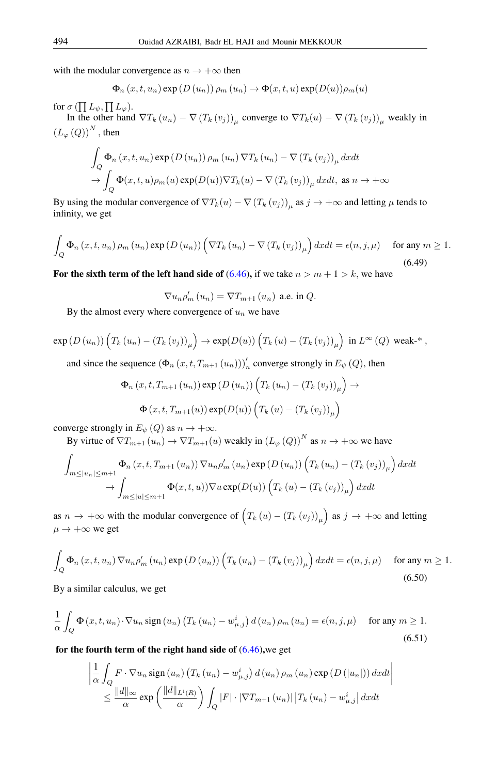with the modular convergence as  $n \to +\infty$  then

$$
\Phi_n(x, t, u_n) \exp(D(u_n)) \rho_m(u_n) \to \Phi(x, t, u) \exp(D(u)) \rho_m(u)
$$

for  $\sigma\,(\prod L_\psi, \prod L_\varphi).$ 

In the other hand  $\nabla T_k(u_n) - \nabla (T_k(v_j))_\mu$  converge to  $\nabla T_k(u) - \nabla (T_k(v_j))_\mu$  weakly in  $(L_{\varphi}(Q))^{N}$ , then

$$
\int_{Q} \Phi_{n}(x, t, u_{n}) \exp(D(u_{n})) \rho_{m}(u_{n}) \nabla T_{k}(u_{n}) - \nabla (T_{k}(v_{j}))_{\mu} dx dt
$$
  
\n
$$
\to \int_{Q} \Phi(x, t, u) \rho_{m}(u) \exp(D(u)) \nabla T_{k}(u) - \nabla (T_{k}(v_{j}))_{\mu} dx dt, \text{ as } n \to +\infty
$$

By using the modular convergence of  $\nabla T_k(u) - \nabla (T_k(v_j))_\mu$  as  $j \to +\infty$  and letting  $\mu$  tends to infinity, we get

$$
\int_{Q} \Phi_{n}(x, t, u_{n}) \rho_{m}(u_{n}) \exp(D(u_{n})) \left(\nabla T_{k}(u_{n}) - \nabla(T_{k}(v_{j}))_{\mu}\right) dxdt = \epsilon(n, j, \mu) \quad \text{for any } m \ge 1.
$$
\n(6.49)

For the sixth term of the left hand side of  $(6.46)$ , if we take  $n > m + 1 > k$ , we have

 $\nabla u_n \rho'_m(u_n) = \nabla T_{m+1}(u_n)$  a.e. in  $Q$ .

By the almost every where convergence of  $u_n$  we have

$$
\exp\left(D\left(u_{n}\right)\right)\left(T_{k}\left(u_{n}\right)-\left(T_{k}\left(v_{j}\right)\right)_{\mu}\right)\to\exp(D(u))\left(T_{k}\left(u\right)-\left(T_{k}\left(v_{j}\right)\right)_{\mu}\right)\text{ in }L^{\infty}\left(Q\right)\text{ weak-*},
$$

and since the sequence  $(\Phi_n(x, t, T_{m+1}(u_n)))'_n$  converge strongly in  $E_\psi(Q)$ , then

$$
\Phi_n(x, t, T_{m+1}(u_n)) \exp(D(u_n)) \left( T_k(u_n) - (T_k(v_j))_{\mu} \right) \to
$$
  

$$
\Phi(x, t, T_{m+1}(u)) \exp(D(u)) \left( T_k(u) - (T_k(v_j))_{\mu} \right)
$$

converge strongly in  $E_{\psi}(Q)$  as  $n \to +\infty$ .

By virtue of  $\nabla T_{m+1}(u_n) \to \nabla T_{m+1}(u)$  weakly in  $(L_\varphi(Q))^N$  as  $n \to +\infty$  we have

$$
\int_{m \leq |u_n| \leq m+1} \Phi_n(x, t, T_{m+1}(u_n)) \nabla u_n \rho'_m(u_n) \exp(D(u_n)) \left( T_k(u_n) - (T_k(v_j))_\mu \right) dx dt
$$
  
\n
$$
\to \int_{m \leq |u| \leq m+1} \Phi(x, t, u) \nabla u \exp(D(u)) \left( T_k(u) - (T_k(v_j))_\mu \right) dx dt
$$

as  $n \to +\infty$  with the modular convergence of  $(T_k(u) - (T_k(v_j))_{\mu})$  as  $j \to +\infty$  and letting  $\mu \rightarrow +\infty$  we get

$$
\int_{Q} \Phi_{n}(x, t, u_{n}) \nabla u_{n} \rho'_{m}(u_{n}) \exp(D(u_{n})) \left(T_{k}(u_{n}) - (T_{k}(v_{j}))_{\mu}\right) dxdt = \epsilon(n, j, \mu) \quad \text{for any } m \ge 1.
$$
\n
$$
(6.50)
$$

By a similar calculus, we get

$$
\frac{1}{\alpha} \int_{Q} \Phi(x, t, u_n) \cdot \nabla u_n \operatorname{sign}(u_n) \left( T_k(u_n) - w_{\mu, j}^i \right) d(u_n) \rho_m(u_n) = \epsilon(n, j, \mu) \quad \text{for any } m \ge 1.
$$
\n
$$
(6.51)
$$

for the fourth term of the right hand side of  $(6.46)$ , we get

$$
\left| \frac{1}{\alpha} \int_{Q} F \cdot \nabla u_{n} \operatorname{sign}(u_{n}) \left( T_{k}(u_{n}) - w_{\mu,j}^{i} \right) d(u_{n}) \rho_{m}(u_{n}) \exp\left(D\left(|u_{n}|\right)\right) dx dt \right|
$$
  

$$
\leq \frac{||d||_{\infty}}{\alpha} \exp\left(\frac{||d||_{L^{1}(R)}}{\alpha}\right) \int_{Q} |F| \cdot |\nabla T_{m+1}(u_{n})| \left| T_{k}(u_{n}) - w_{\mu,j}^{i} \right| dx dt
$$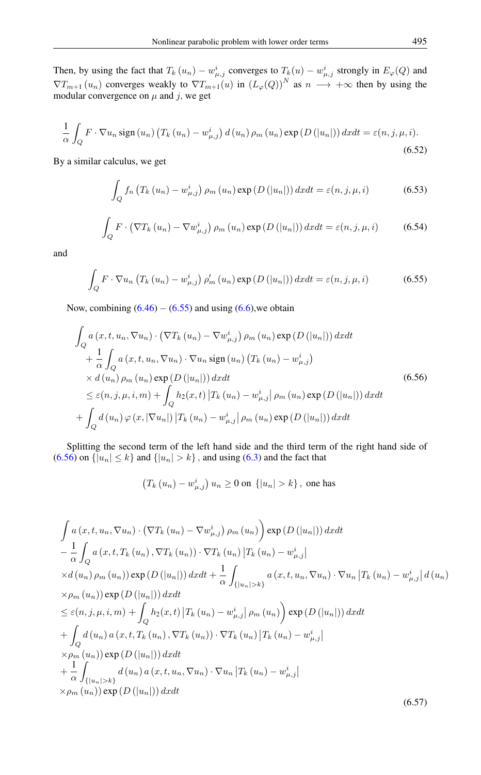Then, by using the fact that  $T_k(u_n) - w_{\mu,j}^i$  converges to  $T_k(u) - w_{\mu,j}^i$  strongly in  $E_{\varphi}(Q)$  and  $\nabla T_{m+1}(u_n)$  converges weakly to  $\nabla T_{m+1}(u)$  in  $(L_\varphi(Q))^N$  as  $n \to +\infty$  then by using the modular convergence on  $\mu$  and  $j$ , we get

$$
\frac{1}{\alpha} \int_{Q} F \cdot \nabla u_{n} \operatorname{sign}(u_{n}) \left( T_{k}(u_{n}) - w_{\mu,j}^{i} \right) d(u_{n}) \rho_{m}(u_{n}) \exp\left(D\left(|u_{n}|\right)\right) dx dt = \varepsilon(n, j, \mu, i).
$$
\n(6.52)

<span id="page-21-2"></span>By a similar calculus, we get

$$
\int_{Q} f_{n} \left( T_{k} \left( u_{n} \right) - w_{\mu,j}^{i} \right) \rho_{m} \left( u_{n} \right) \exp \left( D \left( |u_{n}| \right) \right) dx dt = \varepsilon(n, j, \mu, i)
$$
\n(6.53)

$$
\int_{Q} F \cdot (\nabla T_{k} (u_{n}) - \nabla w_{\mu,j}^{i}) \rho_{m} (u_{n}) \exp (D (|u_{n}|)) dx dt = \varepsilon(n, j, \mu, i)
$$
\n(6.54)

<span id="page-21-0"></span>and

<span id="page-21-1"></span>
$$
\int_{Q} F \cdot \nabla u_{n} \left( T_{k} \left( u_{n} \right) - w_{\mu,j}^{i} \right) \rho'_{m} \left( u_{n} \right) \exp \left( D \left( |u_{n}| \right) \right) dx dt = \varepsilon(n, j, \mu, i)
$$
\n(6.55)

Now, combining  $(6.46) - (6.55)$  $(6.46) - (6.55)$  $(6.46) - (6.55)$  and using  $(6.6)$ , we obtain

$$
\int_{Q} a(x, t, u_n, \nabla u_n) \cdot (\nabla T_k (u_n) - \nabla w_{\mu,j}^i) \rho_m (u_n) \exp(D(|u_n|)) dx dt \n+ \frac{1}{\alpha} \int_{Q} a(x, t, u_n, \nabla u_n) \cdot \nabla u_n \operatorname{sign}(u_n) (T_k (u_n) - w_{\mu,j}^i) \n\times d(u_n) \rho_m (u_n) \exp(D(|u_n|)) dx dt \n\leq \varepsilon(n, j, \mu, i, m) + \int_{Q} h_2(x, t) |T_k (u_n) - w_{\mu,j}^i| \rho_m (u_n) \exp(D(|u_n|)) dx dt \n+ \int_{Q} d(u_n) \varphi(x, |\nabla u_n|) |T_k (u_n) - w_{\mu,j}^i| \rho_m (u_n) \exp(D(|u_n|)) dx dt
$$
\n(6.56)

Splitting the second term of the left hand side and the third term of the right hand side of [\(6.56\)](#page-21-1) on  $\{|u_n| \leq k\}$  and  $\{|u_n| > k\}$ , and using [\(6.3\)](#page-9-0) and the fact that

$$
(T_k (u_n) - w_{\mu,j}^i) u_n \ge 0
$$
 on  $\{|u_n| > k\}$ , one has

$$
\int a(x, t, u_n, \nabla u_n) \cdot (\nabla T_k (u_n) - \nabla w_{\mu,j}^i) \rho_m (u_n) \exp(D(|u_n|)) dx dt \n- \frac{1}{\alpha} \int_Q a(x, t, T_k (u_n), \nabla T_k (u_n)) \cdot \nabla T_k (u_n) |T_k (u_n) - w_{\mu,j}^i| \n\times d(u_n) \rho_m (u_n)) \exp(D(|u_n|)) dx dt + \frac{1}{\alpha} \int_{\{|u_n|>k\}} a(x, t, u_n, \nabla u_n) \cdot \nabla u_n |T_k (u_n) - w_{\mu,j}^i| d(u_n) \n\times \rho_m (u_n)) \exp(D(|u_n|)) dx dt \n\leq \varepsilon(n, j, \mu, i, m) + \int_Q h_2(x, t) |T_k (u_n) - w_{\mu,j}^i| \rho_m (u_n) \exp(D(|u_n|)) dx dt \n+ \int_Q d(u_n) a(x, t, T_k (u_n), \nabla T_k (u_n)) \cdot \nabla T_k (u_n) |T_k (u_n) - w_{\mu,j}^i| \n\times \rho_m (u_n)) \exp(D(|u_n|)) dx dt \n+ \frac{1}{\alpha} \int_{\{|u_n|>k\}} d(u_n) a(x, t, u_n, \nabla u_n) \cdot \nabla u_n |T_k (u_n) - w_{\mu,j}^i| \n\times \rho_m (u_n)) \exp(D(|u_n|)) dx dt
$$
\n(6.57)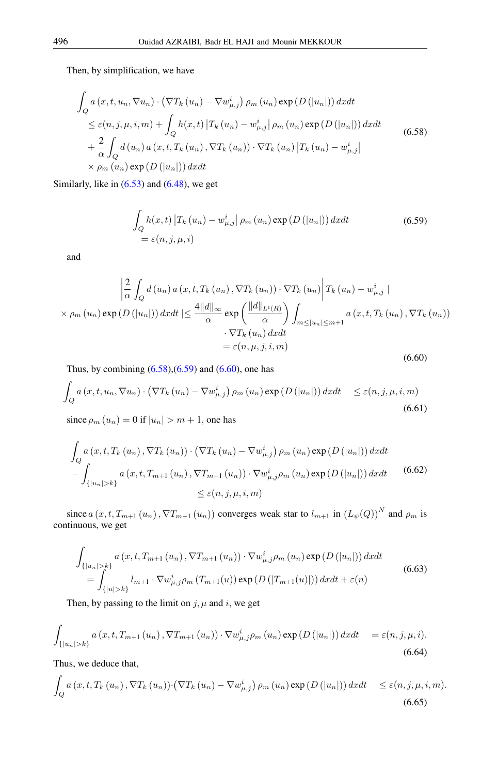<span id="page-22-0"></span>Then, by simplification, we have

$$
\int_{Q} a(x, t, u_n, \nabla u_n) \cdot (\nabla T_k (u_n) - \nabla w_{\mu,j}^i) \rho_m (u_n) \exp(D(|u_n|)) dx dt
$$
\n
$$
\leq \varepsilon(n, j, \mu, i, m) + \int_{Q} h(x, t) |T_k (u_n) - w_{\mu,j}^i| \rho_m (u_n) \exp(D(|u_n|)) dx dt
$$
\n
$$
+ \frac{2}{\alpha} \int_{Q} d(u_n) a(x, t, T_k (u_n), \nabla T_k (u_n)) \cdot \nabla T_k (u_n) |T_k (u_n) - w_{\mu,j}^i|
$$
\n
$$
\times \rho_m (u_n) \exp(D(|u_n|)) dx dt
$$
\n(6.58)

Similarly, like in  $(6.53)$  and  $(6.48)$ , we get

<span id="page-22-1"></span>
$$
\int_{Q} h(x,t) |T_{k}(u_{n}) - w_{\mu,j}^{i}| \rho_{m}(u_{n}) \exp(D(|u_{n}|)) dx dt
$$
\n
$$
= \varepsilon(n, j, \mu, i)
$$
\n(6.59)

<span id="page-22-2"></span>and

$$
\left| \frac{2}{\alpha} \int_{Q} d(u_{n}) a(x, t, T_{k}(u_{n}), \nabla T_{k}(u_{n})) \cdot \nabla T_{k}(u_{n}) \right| T_{k}(u_{n}) - w_{\mu, j}^{i} \mid
$$
  
\n
$$
\times \rho_{m}(u_{n}) \exp(D(|u_{n}|)) dx dt \leq \frac{4||d||_{\infty}}{\alpha} \exp\left(\frac{||d||_{L^{1}(R)}}{\alpha}\right) \int_{m \leq |u_{n}| \leq m+1} a(x, t, T_{k}(u_{n}), \nabla T_{k}(u_{n}))
$$
  
\n
$$
\cdot \nabla T_{k}(u_{n}) dx dt
$$
  
\n
$$
= \varepsilon(n, \mu, j, i, m)
$$
\n(6.60)

Thus, by combining  $(6.58)$ , $(6.59)$  and  $(6.60)$ , one has

$$
\int_{Q} a(x, t, u_n, \nabla u_n) \cdot (\nabla T_k(u_n) - \nabla w_{\mu, j}^i) \rho_m(u_n) \exp(D(|u_n|)) dx dt \leq \varepsilon(n, j, \mu, i, m)
$$
\n(6.61)

since  $\rho_m(u_n) = 0$  if  $|u_n| > m + 1$ , one has

$$
\int_{Q} a(x, t, T_{k}(u_{n}), \nabla T_{k}(u_{n})) \cdot (\nabla T_{k}(u_{n}) - \nabla w_{\mu,j}^{i}) \rho_{m}(u_{n}) \exp(D(|u_{n}|)) dx dt \n- \int_{\{|u_{n}| > k\}} a(x, t, T_{m+1}(u_{n}), \nabla T_{m+1}(u_{n})) \cdot \nabla w_{\mu,j}^{i} \rho_{m}(u_{n}) \exp(D(|u_{n}|)) dx dt \qquad (6.62)
$$
\n
$$
\leq \varepsilon(n, j, \mu, i, m)
$$

since  $a(x, t, T_{m+1}(u_n), \nabla T_{m+1}(u_n))$  converges weak star to  $l_{m+1}$  in  $(L_\psi(Q))^N$  and  $\rho_m$  is continuous, we get

$$
\int_{\{|u_{n}|>k\}} a(x, t, T_{m+1}(u_{n}), \nabla T_{m+1}(u_{n})) \cdot \nabla w_{\mu,j}^{i} \rho_{m}(u_{n}) \exp(D(|u_{n}|)) dx dt \n= \int_{\{|u|>k\}} l_{m+1} \cdot \nabla w_{\mu,j}^{i} \rho_{m}(T_{m+1}(u)) \exp(D(|T_{m+1}(u)|)) dx dt + \varepsilon(n)
$$
\n(6.63)

Then, by passing to the limit on  $j, \mu$  and  $i$ , we get

$$
\int_{\{|u_n|>k\}} a(x,t,T_{m+1}(u_n),\nabla T_{m+1}(u_n)) \cdot \nabla w_{\mu,j}^i \rho_m(u_n) \exp(D(|u_n|)) dx dt = \varepsilon(n,j,\mu,i).
$$
\n(6.64)

Thus, we deduce that,

$$
\int_{Q} a(x, t, T_{k}(u_{n}), \nabla T_{k}(u_{n})) \cdot (\nabla T_{k}(u_{n}) - \nabla w_{\mu, j}^{i}) \rho_{m}(u_{n}) \exp(D(|u_{n}|)) dx dt \leq \varepsilon(n, j, \mu, i, m).
$$
\n(6.65)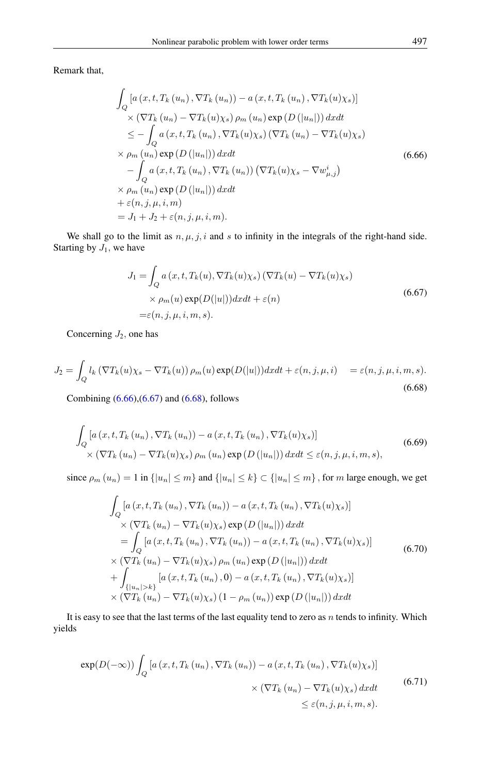<span id="page-23-0"></span>Remark that,

$$
\int_{Q} \left[ a(x, t, T_k(u_n), \nabla T_k(u_n)) - a(x, t, T_k(u_n), \nabla T_k(u)\chi_s) \right]
$$
\n
$$
\times (\nabla T_k(u_n) - \nabla T_k(u)\chi_s) \rho_m(u_n) \exp(D(|u_n|)) dx dt
$$
\n
$$
\leq - \int_{Q} a(x, t, T_k(u_n), \nabla T_k(u)\chi_s) (\nabla T_k(u_n) - \nabla T_k(u)\chi_s)
$$
\n
$$
\times \rho_m(u_n) \exp(D(|u_n|)) dx dt
$$
\n
$$
- \int_{Q} a(x, t, T_k(u_n), \nabla T_k(u_n)) (\nabla T_k(u)\chi_s - \nabla w_{\mu,j}^i)
$$
\n
$$
\times \rho_m(u_n) \exp(D(|u_n|)) dx dt
$$
\n
$$
+ \varepsilon(n, j, \mu, i, m)
$$
\n
$$
= J_1 + J_2 + \varepsilon(n, j, \mu, i, m).
$$
\n(6.66)

<span id="page-23-1"></span>We shall go to the limit as  $n, \mu, j, i$  and s to infinity in the integrals of the right-hand side. Starting by  $J_1$ , we have

$$
J_1 = \int_Q a(x, t, T_k(u), \nabla T_k(u)\chi_s) (\nabla T_k(u) - \nabla T_k(u)\chi_s)
$$
  
 
$$
\times \rho_m(u) \exp(D(|u|)) dx dt + \varepsilon(n)
$$
  
=\varepsilon(n, j, \mu, i, m, s). (6.67)

<span id="page-23-2"></span>Concerning  $J_2$ , one has

$$
J_2 = \int_Q l_k \left( \nabla T_k(u) \chi_s - \nabla T_k(u) \right) \rho_m(u) \exp(D(|u|)) dx dt + \varepsilon(n, j, \mu, i) = \varepsilon(n, j, \mu, i, m, s).
$$
\n(6.68)

Combining [\(6.66\)](#page-23-0),[\(6.67\)](#page-23-1) and [\(6.68\)](#page-23-2), follows

$$
\int_{Q} \left[ a\left(x, t, T_{k}\left(u_{n}\right), \nabla T_{k}\left(u_{n}\right)\right) - a\left(x, t, T_{k}\left(u_{n}\right), \nabla T_{k}(u)\chi_{s}\right) \right] \times \left(\nabla T_{k}\left(u_{n}\right) - \nabla T_{k}(u)\chi_{s}\right) \rho_{m}\left(u_{n}\right) \exp\left(D\left(\left|u_{n}\right|\right)\right) dx dt \leq \varepsilon(n, j, \mu, i, m, s),\tag{6.69}
$$

since  $\rho_m(u_n) = 1$  in  $\{|u_n| \le m\}$  and  $\{|u_n| \le k\} \subset \{|u_n| \le m\}$ , for m large enough, we get

$$
\int_{Q} \left[ a(x, t, T_k(u_n), \nabla T_k(u_n)) - a(x, t, T_k(u_n), \nabla T_k(u)\chi_s) \right]
$$
\n
$$
\times (\nabla T_k(u_n) - \nabla T_k(u)\chi_s) \exp(D(|u_n|)) dx dt
$$
\n
$$
= \int_{Q} \left[ a(x, t, T_k(u_n), \nabla T_k(u_n)) - a(x, t, T_k(u_n), \nabla T_k(u)\chi_s) \right]
$$
\n
$$
\times (\nabla T_k(u_n) - \nabla T_k(u)\chi_s) \rho_m(u_n) \exp(D(|u_n|)) dx dt
$$
\n
$$
+ \int_{\{|u_n| > k\}} \left[ a(x, t, T_k(u_n), 0) - a(x, t, T_k(u_n), \nabla T_k(u)\chi_s) \right]
$$
\n
$$
\times (\nabla T_k(u_n) - \nabla T_k(u)\chi_s) (1 - \rho_m(u_n)) \exp(D(|u_n|)) dx dt
$$
\n(6.70)

<span id="page-23-3"></span>It is easy to see that the last terms of the last equality tend to zero as  $n$  tends to infinity. Which yields

$$
\exp(D(-\infty))\int_{Q} \left[a\left(x, t, T_{k}\left(u_{n}\right), \nabla T_{k}\left(u_{n}\right)\right)-a\left(x, t, T_{k}\left(u_{n}\right), \nabla T_{k}(u)\chi_{s}\right)\right] \times \left(\nabla T_{k}\left(u_{n}\right)-\nabla T_{k}(u)\chi_{s}\right) dx dt \tag{6.71}
$$
\n
$$
\leq \varepsilon(n, j, \mu, i, m, s).
$$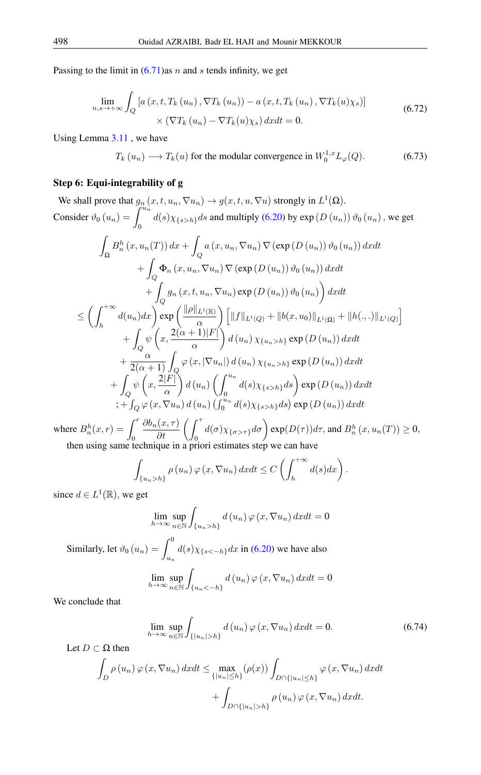<span id="page-24-0"></span>Passing to the limit in  $(6.71)$ as n and s tends infinity, we get

$$
\lim_{n,s \to +\infty} \int_{Q} \left[ a\left(x,t,T_{k}\left(u_{n}\right),\nabla T_{k}\left(u_{n}\right)\right)-a\left(x,t,T_{k}\left(u_{n}\right),\nabla T_{k}(u)\chi_{s}\right) \right] \times \left(\nabla T_{k}\left(u_{n}\right)-\nabla T_{k}(u)\chi_{s}\right) dx dt = 0. \tag{6.72}
$$

Using Lemma [3.11](#page-6-0) , we have

<span id="page-24-1"></span>
$$
T_k(u_n) \longrightarrow T_k(u) \text{ for the modular convergence in } W_0^{1,x} L_{\varphi}(Q). \tag{6.73}
$$

# Step 6: Equi-integrability of g

We shall prove that  $g_n(x, t, u_n, \nabla u_n) \to g(x, t, u, \nabla u)$  strongly in  $L^1(\Omega)$ . Consider  $\vartheta_0(u_n) = \int^{u_n}$  $\int_0^1 d(s)\chi_{\{s>h\}}ds$  and multiply [\(6.20\)](#page-12-0) by exp  $(D(u_n))\vartheta_0(u_n)$ , we get Z  $\Omega$  $B_n^h(x, u_n(T)) dx +$  $\mathcal{Q}_{Q}$  a  $(x, u_n, \nabla u_n) \nabla (\exp(D(u_n))) \vartheta_0(u_n)) dx dt$  $+$  $\bigcup_{Q} \Phi_n(x, u_n, \nabla u_n) \nabla (\exp(D(u_n))) \vartheta_0(u_n)) dx dt$  $+\int g_n(x, t, u_n, \nabla u_n) \exp(D(u_n)) \vartheta_0(u_n)\right) dx dt$ Q  $\leq$   $\Big( \int^{+\infty}$  $\int_{h}^{+\infty} d(u_n) dx$  exp  $\left(\frac{\|\rho\|_{L^1(\mathbb{R})}}{\alpha}\right)$ α  $\int \left\|f\|_{L^1(Q)} + \|b(x,u_0)\|_{L^1(\Omega)} + \|h(.,.)\|_{L^1(Q)}\right\|$  $+$ Q  $\psi\left(x,\frac{2(\alpha+1)|F|}{\sigma}\right)$ α  $\Big\{ d(u_n) \chi_{\{u_n > h\}} \exp(D(u_n)) dx dt \Big\}$  $+\frac{\alpha}{2(1-\alpha)}$  $2(\alpha+1)$  $\frac{1}{Q}\varphi\left(x,\left|\nabla u_n\right|\right)d\left(u_n\right)\chi_{\{u_n>h\}}\exp\left(D\left(u_n\right)\right)dxdt$  $+$ Q  $\psi\left(x,\frac{2|F|}{\ }$ α  $\bigg\} d(u_n) \left( \int^{u_n}$  $\int_0^{u_n} d(s) \chi_{\{s>h\}} ds\bigg) \exp(D(u_n)) dx dt$  $\int_{Q}\varphi\left(x,\nabla u_{n}\right)d\left(u_{n}\right)\left(\int_{0}^{u_{n}}d(s)\chi_{\{s>h\}}ds\right)\exp\left(D\left(u_{n}\right)\right)dxdt$ 

where  $B_n^h(x,r) = \int^r$  $\boldsymbol{0}$  $\frac{\partial b_n(x,\tau)}{\partial t} \left( \int_0^{\tau} d(\sigma) \chi_{\{\sigma > \tau\}} d\sigma \right) \exp(D(\tau)) d\tau$ , and  $B_n^h(x, u_n(T)) \ge 0$ , then using same technique in a priori estimates step we can have

$$
\int_{\{u_n>h\}} \rho(u_n)\,\varphi(x,\nabla u_n)\,dxdt\leq C\left(\int_h^{+\infty} d(s)dx\right).
$$

since  $d \in L^1(\mathbb{R})$ , we get

$$
\lim_{h \to \infty} \sup_{n \in \mathbb{N}} \int_{\{u_n > h\}} d(u_n) \varphi(x, \nabla u_n) dx dt = 0
$$

Similarly, let  $\vartheta_0(u_n) = \int_0^0$  $\int_{u_n} d(s) \chi_{\{s \leq -h\}} dx$  in [\(6.20\)](#page-12-0) we have also Z

$$
\lim_{h \to \infty} \sup_{n \in \mathbb{N}} \int_{\{u_n < -h\}} d(u_n) \, \varphi \left( x, \nabla u_n \right) dx dt = 0
$$

We conclude that

$$
\lim_{h \to \infty} \sup_{n \in \mathbb{N}} \int_{\{|u_n| > h\}} d(u_n) \varphi(x, \nabla u_n) dx dt = 0.
$$
\n(6.74)

Let 
$$
D \subset \Omega
$$
 then  
\n
$$
\int_{D} \rho(u_n) \varphi(x, \nabla u_n) dx dt \leq \max_{\{|u_n| \leq h\}} (\rho(x)) \int_{D \cap \{|u_n| \leq h\}} \varphi(x, \nabla u_n) dx dt
$$
\n
$$
+ \int_{D \cap \{|u_n| > h\}} \rho(u_n) \varphi(x, \nabla u_n) dx dt.
$$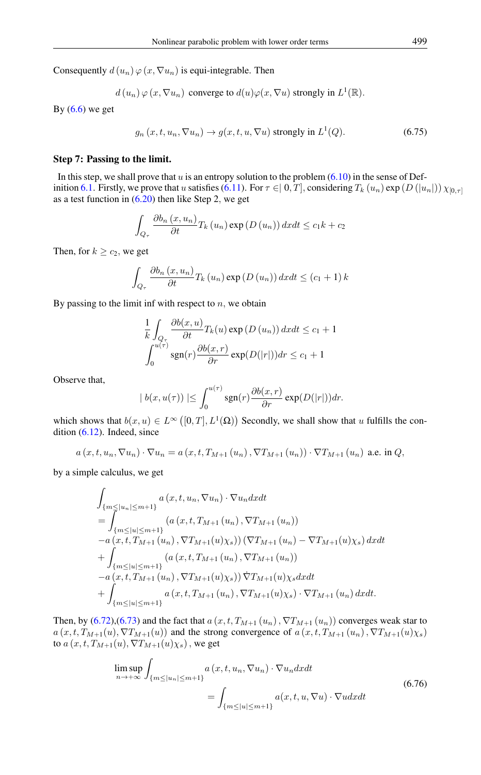Consequently  $d(u_n) \varphi(x, \nabla u_n)$  is equi-integrable. Then

$$
d(u_n)\varphi(x,\nabla u_n)
$$
 converge to  $d(u)\varphi(x,\nabla u)$  strongly in  $L^1(\mathbb{R})$ .

By  $(6.6)$  we get

$$
g_n(x, t, u_n, \nabla u_n) \to g(x, t, u, \nabla u) \text{ strongly in } L^1(Q). \tag{6.75}
$$

#### Step 7: Passing to the limit.

In this step, we shall prove that  $u$  is an entropy solution to the problem  $(6.10)$  in the sense of Def-inition [6.1.](#page-9-5) Firstly, we prove that u satisfies [\(6.11\)](#page-9-8). For  $\tau \in [0, T]$ , considering  $T_k(u_n) \exp(D(|u_n|)) \chi_{[0, \tau]}$ as a test function in  $(6.20)$  then like Step 2, we get

$$
\int_{Q_{\tau}} \frac{\partial b_n(x, u_n)}{\partial t} T_k(u_n) \exp(D(u_n)) dx dt \le c_1 k + c_2
$$

Then, for  $k \geq c_2$ , we get

$$
\int_{Q_{\tau}} \frac{\partial b_n(x, u_n)}{\partial t} T_k(u_n) \exp(D(u_n)) dx dt \le (c_1 + 1) k
$$

By passing to the limit inf with respect to  $n$ , we obtain

$$
\frac{1}{k} \int_{Q_{\tau}} \frac{\partial b(x, u)}{\partial t} T_k(u) \exp(D(u_n)) dx dt \le c_1 + 1
$$
  

$$
\int_0^{u(\tau)} \operatorname{sgn}(r) \frac{\partial b(x, r)}{\partial r} \exp(D(|r|)) dr \le c_1 + 1
$$

Observe that,

$$
|b(x, u(\tau))| \leq \int_0^{u(\tau)} \operatorname{sgn}(r) \frac{\partial b(x, r)}{\partial r} \exp(D(|r|)) dr.
$$

which shows that  $b(x, u) \in L^{\infty}([0, T], L^{1}(\Omega))$  Secondly, we shall show that u fulfills the condition [\(6.12\)](#page-9-9). Indeed, since

$$
a(x,t,u_n,\nabla u_n)\cdot\nabla u_n=a(x,t,T_{M+1}(u_n),\nabla T_{M+1}(u_n))\cdot\nabla T_{M+1}(u_n)
$$
 a.e. in Q,

by a simple calculus, we get

$$
\int_{\{m \le |u_n| \le m+1\}} a(x, t, u_n, \nabla u_n) \cdot \nabla u_n dx dt \n= \int_{\{m \le |u| \le m+1\}} (a(x, t, T_{M+1}(u_n), \nabla T_{M+1}(u_n)) \n- a(x, t, T_{M+1}(u_n), \nabla T_{M+1}(u)\chi_s)) (\nabla T_{M+1}(u_n) - \nabla T_{M+1}(u)\chi_s) dx dt \n+ \int_{\{m \le |u| \le m+1\}} (a(x, t, T_{M+1}(u_n), \nabla T_{M+1}(u_n)) \n- a(x, t, T_{M+1}(u_n), \nabla T_{M+1}(u)\chi_s)) \nabla T_{M+1}(u)\chi_s dx dt \n+ \int_{\{m \le |u| \le m+1\}} a(x, t, T_{M+1}(u_n), \nabla T_{M+1}(u)\chi_s) \cdot \nabla T_{M+1}(u_n) dx dt.
$$

Then, by [\(6.72\)](#page-24-0),[\(6.73\)](#page-24-1) and the fact that  $a(x, t, T_{M+1}(u_n), \nabla T_{M+1}(u_n))$  converges weak star to  $a(x, t, T_{M+1}(u), \nabla T_{M+1}(u))$  and the strong convergence of  $a(x, t, T_{M+1}(u_n), \nabla T_{M+1}(u)x_s)$ to  $a(x, t, T_{M+1}(u), \nabla T_{M+1}(u)\chi_s)$ , we get

$$
\limsup_{n \to +\infty} \int_{\{m \le |u_n| \le m+1\}} a(x, t, u_n, \nabla u_n) \cdot \nabla u_n dx dt
$$
\n
$$
= \int_{\{m \le |u| \le m+1\}} a(x, t, u, \nabla u) \cdot \nabla u dx dt
$$
\n(6.76)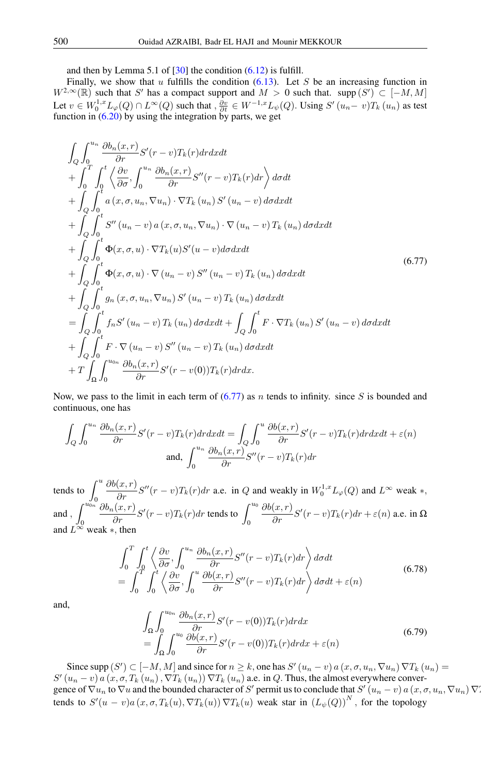and then by Lemma 5.1 of  $[30]$  the condition  $(6.12)$  is fulfill.

Finally, we show that u fulfills the condition  $(6.13)$ . Let S be an increasing function in  $W^{2,\infty}(\mathbb{R})$  such that S' has a compact support and  $M > 0$  such that. supp  $(S') \subset [-M, M]$ Let  $v \in W_0^{1,x} L_\varphi(Q) \cap L^\infty(Q)$  such that  $, \frac{\partial v}{\partial t} \in W^{-1,x} L_\psi(Q)$ . Using  $S'(u_n - v)T_k(u_n)$  as test function in  $(6.20)$  by using the integration by parts, we get

<span id="page-26-0"></span>
$$
\int_{Q} \int_{0}^{u_{n}} \frac{\partial b_{n}(x,r)}{\partial r} S'(r-v) T_{k}(r) dr dx dt \n+ \int_{0}^{T} \int_{0}^{t} \left\langle \frac{\partial v}{\partial \sigma}, \int_{0}^{u_{n}} \frac{\partial b_{n}(x,r)}{\partial r} S''(r-v) T_{k}(r) dr \right\rangle d\sigma dt \n+ \int_{Q} \int_{0}^{t} a(x, \sigma, u_{n}, \nabla u_{n}) \cdot \nabla T_{k}(u_{n}) S'(u_{n}-v) d\sigma dx dt \n+ \int_{Q} \int_{0}^{t} S''(u_{n}-v) a(x, \sigma, u_{n}, \nabla u_{n}) \cdot \nabla (u_{n}-v) T_{k}(u_{n}) d\sigma dx dt \n+ \int_{Q} \int_{0}^{t} \Phi(x, \sigma, u) \cdot \nabla T_{k}(u) S'(u-v) d\sigma dx dt \n+ \int_{Q} \int_{0}^{t} \Phi(x, \sigma, u) \cdot \nabla (u_{n}-v) S''(u_{n}-v) T_{k}(u_{n}) d\sigma dx dt \n+ \int_{Q} \int_{0}^{t} g_{n}(x, \sigma, u_{n}, \nabla u_{n}) S'(u_{n}-v) T_{k}(u_{n}) d\sigma dx dt \n= \int_{Q} \int_{0}^{t} f_{n} S'(u_{n}-v) T_{k}(u_{n}) d\sigma dx dt + \int_{Q} \int_{0}^{t} F \cdot \nabla T_{k}(u_{n}) S'(u_{n}-v) d\sigma dx dt \n+ \int_{Q} \int_{0}^{t} F \cdot \nabla (u_{n}-v) S''(u_{n}-v) T_{k}(u_{n}) d\sigma dx dt \n+ T \int_{\Omega} \int_{0}^{u_{0n}} \frac{\partial b_{n}(x,r)}{\partial r} S'(r-v(0)) T_{k}(r) dr dx.
$$
\n(11)

Now, we pass to the limit in each term of  $(6.77)$  as n tends to infinity. since S is bounded and continuous, one has

$$
\int_{Q} \int_{0}^{u_{n}} \frac{\partial b_{n}(x, r)}{\partial r} S'(r - v) T_{k}(r) dr dx dt = \int_{Q} \int_{0}^{u} \frac{\partial b(x, r)}{\partial r} S'(r - v) T_{k}(r) dr dx dt + \varepsilon(n)
$$
  
and, 
$$
\int_{0}^{u_{n}} \frac{\partial b_{n}(x, r)}{\partial r} S''(r - v) T_{k}(r) dr
$$

tends to  $\int u$  $\boldsymbol{0}$  $\frac{\partial b(x,r)}{\partial r}S''(r-v)T_k(r)dr$  a.e. in Q and weakly in  $W_0^{1,x}L_\varphi(Q)$  and  $L^\infty$  weak  $*,$ and ,  $\int^{u_{0n}}$  $\overline{0}$  $\frac{\partial b_n(x,r)}{\partial r} S'(r-v) T_k(r) dr$  tends to  $\int_0^{u_0}$  $\frac{\partial b(x,r)}{\partial r}S'(r-v)T_k(r)dr + \varepsilon(n)$  a.e. in  $\Omega$ and  $\tilde{L}^{\infty}$  weak  $*$ , then

$$
\int_{0}^{T} \int_{0}^{t} \left\langle \frac{\partial v}{\partial \sigma}, \int_{0}^{u_{n}} \frac{\partial b_{n}(x, r)}{\partial r} S''(r - v) T_{k}(r) dr \right\rangle d\sigma dt
$$
\n
$$
= \int_{0}^{T} \int_{0}^{t} \left\langle \frac{\partial v}{\partial \sigma}, \int_{0}^{u} \frac{\partial b(x, r)}{\partial r} S''(r - v) T_{k}(r) dr \right\rangle d\sigma dt + \varepsilon(n)
$$
\n(6.78)

and,

$$
\int_{\Omega} \int_{0}^{u_{0n}} \frac{\partial b_n(x,r)}{\partial r} S'(r - v(0)) T_k(r) dr dx \n= \int_{\Omega} \int_{0}^{u_0} \frac{\partial b(x,r)}{\partial r} S'(r - v(0)) T_k(r) dr dx + \varepsilon(n)
$$
\n(6.79)

Since supp  $(S') \subset [-M, M]$  and since for  $n \geq k$ , one has  $S'(u_n - v)$  a  $(x, \sigma, u_n, \nabla u_n) \nabla T_k(u_n) =$  $S'(u_n - v)$  a  $(x, \sigma, T_k(u_n), \nabla T_k(u_n)) \nabla T_k(u_n)$  a.e. in Q. Thus, the almost everywhere convergence of  $\nabla u_n$  to  $\nabla u$  and the bounded character of S' permit us to conclude that  $S'(u_n - v)$  a  $(x, \sigma, u_n, \nabla u_n)$   $\nabla x$ tends to  $S'(u-v)a(x,\sigma,T_k(u),\nabla T_k(u))\nabla T_k(u)$  weak star in  $(L_{\psi}(Q))^{N}$ , for the topology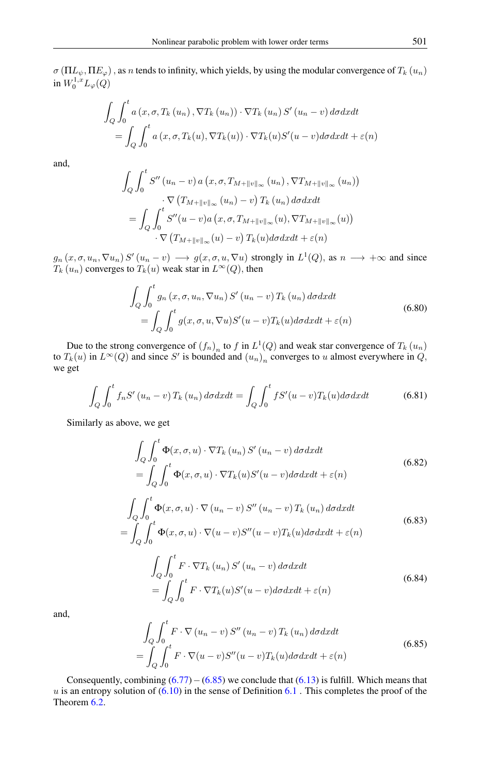$\sigma(\Pi L_{\psi}, \Pi E_{\varphi})$ , as n tends to infinity, which yields, by using the modular convergence of  $T_k(u_n)$ in  $W_0^{1,x}L_\varphi(Q)$ 

$$
\int_{Q} \int_{0}^{t} a(x, \sigma, T_{k}(u_{n}), \nabla T_{k}(u_{n})) \cdot \nabla T_{k}(u_{n}) S'(u_{n} - v) d\sigma dx dt
$$

$$
= \int_{Q} \int_{0}^{t} a(x, \sigma, T_{k}(u), \nabla T_{k}(u)) \cdot \nabla T_{k}(u) S'(u - v) d\sigma dx dt + \varepsilon(n)
$$

and,

$$
\int_{Q} \int_{0}^{t} S''(u_{n}-v) a(x, \sigma, T_{M+\|v\|_{\infty}}(u_{n}), \nabla T_{M+\|v\|_{\infty}}(u_{n}))
$$
\n
$$
\cdot \nabla (T_{M+\|v\|_{\infty}}(u_{n}) - v) T_{k}(u_{n}) d\sigma dx dt
$$
\n
$$
= \int_{Q} \int_{0}^{t} S''(u-v) a(x, \sigma, T_{M+\|v\|_{\infty}}(u), \nabla T_{M+\|v\|_{\infty}}(u))
$$
\n
$$
\cdot \nabla (T_{M+\|v\|_{\infty}}(u) - v) T_{k}(u) d\sigma dx dt + \varepsilon(n)
$$

 $g_n(x, \sigma, u_n, \nabla u_n) S'(u_n - v) \longrightarrow g(x, \sigma, u, \nabla u)$  strongly in  $L^1(Q)$ , as  $n \longrightarrow +\infty$  and since  $T_k(u_n)$  converges to  $T_k(u)$  weak star in  $L^{\infty}(Q)$ , then

$$
\int_{Q} \int_{0}^{t} g_{n}(x, \sigma, u_{n}, \nabla u_{n}) S'(u_{n} - v) T_{k}(u_{n}) d\sigma dx dt
$$
\n
$$
= \int_{Q} \int_{0}^{t} g(x, \sigma, u, \nabla u) S'(u - v) T_{k}(u) d\sigma dx dt + \varepsilon(n)
$$
\n(6.80)

Due to the strong convergence of  $(f_n)_n$  to f in  $L^1(Q)$  and weak star convergence of  $T_k(u_n)$ to  $T_k(u)$  in  $L^{\infty}(Q)$  and since S' is bounded and  $(u_n)_n$  converges to u almost everywhere in  $Q$ , we get

$$
\int_{Q} \int_{0}^{t} f_{n} S' \left( u_{n} - v \right) T_{k} \left( u_{n} \right) d\sigma dx dt = \int_{Q} \int_{0}^{t} f S' (u - v) T_{k} (u) d\sigma dx dt \tag{6.81}
$$

Similarly as above, we get

$$
\int_{Q} \int_{0}^{t} \Phi(x, \sigma, u) \cdot \nabla T_{k} (u_{n}) S' (u_{n} - v) d\sigma dx dt
$$
\n
$$
= \int_{Q} \int_{0}^{t} \Phi(x, \sigma, u) \cdot \nabla T_{k}(u) S' (u - v) d\sigma dx dt + \varepsilon(n)
$$
\n(6.82)

$$
\int_{Q} \int_{0}^{t} \Phi(x, \sigma, u) \cdot \nabla (u_n - v) S''(u_n - v) T_k(u_n) d\sigma dx dt
$$
\n
$$
= \int_{Q} \int_{0}^{t} \Phi(x, \sigma, u) \cdot \nabla (u - v) S''(u - v) T_k(u) d\sigma dx dt + \varepsilon(n)
$$
\n(6.83)

$$
\int_{Q} \int_{0}^{t} F \cdot \nabla T_{k} (u_{n}) S' (u_{n} - v) d\sigma dx dt
$$
\n
$$
= \int_{Q} \int_{0}^{t} F \cdot \nabla T_{k}(u) S' (u - v) d\sigma dx dt + \varepsilon(n)
$$
\n(6.84)

<span id="page-27-0"></span>and,

$$
\int_{Q} \int_{0}^{t} F \cdot \nabla (u_n - v) S'' (u_n - v) T_k (u_n) d\sigma dx dt
$$
\n
$$
= \int_{Q} \int_{0}^{t} F \cdot \nabla (u - v) S'' (u - v) T_k (u) d\sigma dx dt + \varepsilon(n)
$$
\n(6.85)

Consequently, combining  $(6.77)-(6.85)$  $(6.77)-(6.85)$  $(6.77)-(6.85)$  we conclude that  $(6.13)$  is fulfill. Which means that  $u$  is an entropy solution of  $(6.10)$  in the sense of Definition  $6.1$ . This completes the proof of the Theorem [6.2.](#page-11-0)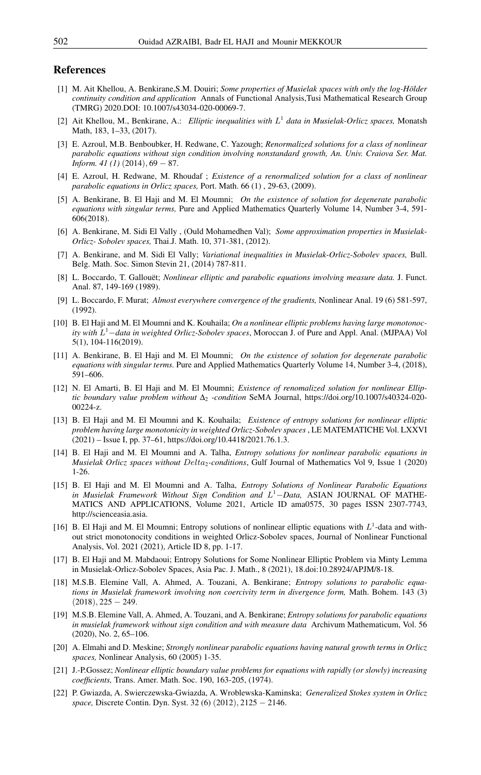## <span id="page-28-0"></span>References

- <span id="page-28-15"></span>[1] M. Ait Khellou, A. Benkirane,S.M. Douiri; *Some properties of Musielak spaces with only the log-Hölder continuity condition and application* Annals of Functional Analysis,Tusi Mathematical Research Group (TMRG) 2020.DOI: 10.1007/s43034-020-00069-7.
- <span id="page-28-18"></span>[2] Ait Khellou, M., Benkirane, A.: *Elliptic inequalities with* L 1 *data in Musielak-Orlicz spaces,* Monatsh Math, 183, 1–33, (2017).
- <span id="page-28-3"></span>[3] E. Azroul, M.B. Benboubker, H. Redwane, C. Yazough; *Renormalized solutions for a class of nonlinear parabolic equations without sign condition involving nonstandard growth, An. Univ. Craiova Ser. Mat. Inform.* 41 (1) (2014), 69 − 87.
- <span id="page-28-19"></span>[4] E. Azroul, H. Redwane, M. Rhoudaf ; *Existence of a renormalized solution for a class of nonlinear parabolic equations in Orlicz spaces,* Port. Math. 66 (1) , 29-63, (2009).
- <span id="page-28-6"></span>[5] A. Benkirane, B. El Haji and M. El Moumni; *On the existence of solution for degenerate parabolic equations with singular terms,* Pure and Applied Mathematics Quarterly Volume 14, Number 3-4, 591- 606(2018).
- <span id="page-28-20"></span>[6] A. Benkirane, M. Sidi El Vally , (Ould Mohamedhen Val); *Some approximation properties in Musielak-Orlicz- Sobolev spaces,* Thai.J. Math. 10, 371-381, (2012).
- <span id="page-28-17"></span>[7] A. Benkirane, and M. Sidi El Vally; *Variational inequalities in Musielak-Orlicz-Sobolev spaces,* Bull. Belg. Math. Soc. Simon Stevin 21, (2014) 787-811.
- <span id="page-28-2"></span>[8] L. Boccardo, T. Gallouët; *Nonlinear elliptic and parabolic equations involving measure data.* J. Funct. Anal. 87, 149-169 (1989).
- <span id="page-28-22"></span>[9] L. Boccardo, F. Murat; *Almost everywhere convergence of the gradients,* Nonlinear Anal. 19 (6) 581-597, (1992).
- <span id="page-28-7"></span>[10] B. El Haji and M. El Moumni and K. Kouhaila; *On a nonlinear elliptic problems having large monotonocity with* L <sup>1</sup>−*data in weighted Orlicz-Sobolev spaces*, Moroccan J. of Pure and Appl. Anal. (MJPAA) Vol 5(1), 104-116(2019).
- <span id="page-28-8"></span>[11] A. Benkirane, B. El Haji and M. El Moumni; *On the existence of solution for degenerate parabolic equations with singular terms.* Pure and Applied Mathematics Quarterly Volume 14, Number 3-4, (2018), 591–606.
- <span id="page-28-9"></span>[12] N. El Amarti, B. El Haji and M. El Moumni; *Existence of renomalized solution for nonlinear Elliptic boundary value problem without* ∆<sup>2</sup> *-condition* SeMA Journal, https://doi.org/10.1007/s40324-020- 00224-z.
- <span id="page-28-10"></span>[13] B. El Haji and M. El Moumni and K. Kouhaila; *Existence of entropy solutions for nonlinear elliptic problem having large monotonicity in weighted Orlicz-Sobolev spaces*, LE MATEMATICHE Vol. LXXVI (2021) – Issue I, pp. 37–61, https://doi.org/10.4418/2021.76.1.3.
- <span id="page-28-11"></span>[14] B. El Haji and M. El Moumni and A. Talha, *Entropy solutions for nonlinear parabolic equations in Musielak Orlicz spaces without* Delta2*-conditions*, Gulf Journal of Mathematics Vol 9, Issue 1 (2020) 1-26.
- <span id="page-28-12"></span>[15] B. El Haji and M. El Moumni and A. Talha, *Entropy Solutions of Nonlinear Parabolic Equations in Musielak Framework Without Sign Condition and* L <sup>1</sup>−*Data,* ASIAN JOURNAL OF MATHE-MATICS AND APPLICATIONS, Volume 2021, Article ID ama0575, 30 pages ISSN 2307-7743, http://scienceasia.asia.
- <span id="page-28-13"></span>[16] B. El Haji and M. El Moumni; Entropy solutions of nonlinear elliptic equations with  $L<sup>1</sup>$ -data and without strict monotonocity conditions in weighted Orlicz-Sobolev spaces, Journal of Nonlinear Functional Analysis, Vol. 2021 (2021), Article ID 8, pp. 1-17.
- <span id="page-28-14"></span>[17] B. El Haji and M. Mabdaoui; Entropy Solutions for Some Nonlinear Elliptic Problem via Minty Lemma in Musielak-Orlicz-Sobolev Spaces, Asia Pac. J. Math., 8 (2021), 18.doi:10.28924/APJM/8-18.
- <span id="page-28-5"></span>[18] M.S.B. Elemine Vall, A. Ahmed, A. Touzani, A. Benkirane; *Entropy solutions to parabolic equations in Musielak framework involving non coercivity term in divergence form,* Math. Bohem. 143 (3)  $(2018), 225 - 249.$
- <span id="page-28-21"></span>[19] M.S.B. Elemine Vall, A. Ahmed, A. Touzani, and A. Benkirane; *Entropy solutions for parabolic equations in musielak framework without sign condition and with measure data* Archivum Mathematicum, Vol. 56 (2020), No. 2, 65–106.
- <span id="page-28-4"></span>[20] A. Elmahi and D. Meskine; *Strongly nonlinear parabolic equations having natural growth terms in Orlicz spaces,* Nonlinear Analysis, 60 (2005) 1-35.
- <span id="page-28-16"></span>[21] J.-P.Gossez; *Nonlinear elliptic boundary value problems for equations with rapidly (or slowly) increasing coefficients,* Trans. Amer. Math. Soc. 190, 163-205, (1974).
- <span id="page-28-1"></span>[22] P. Gwiazda, A. Swierczewska-Gwiazda, A. Wroblewska-Kaminska; *Generalized Stokes system in Orlicz space,* Discrete Contin. Dyn. Syst. 32 (6) (2012), 2125 − 2146.